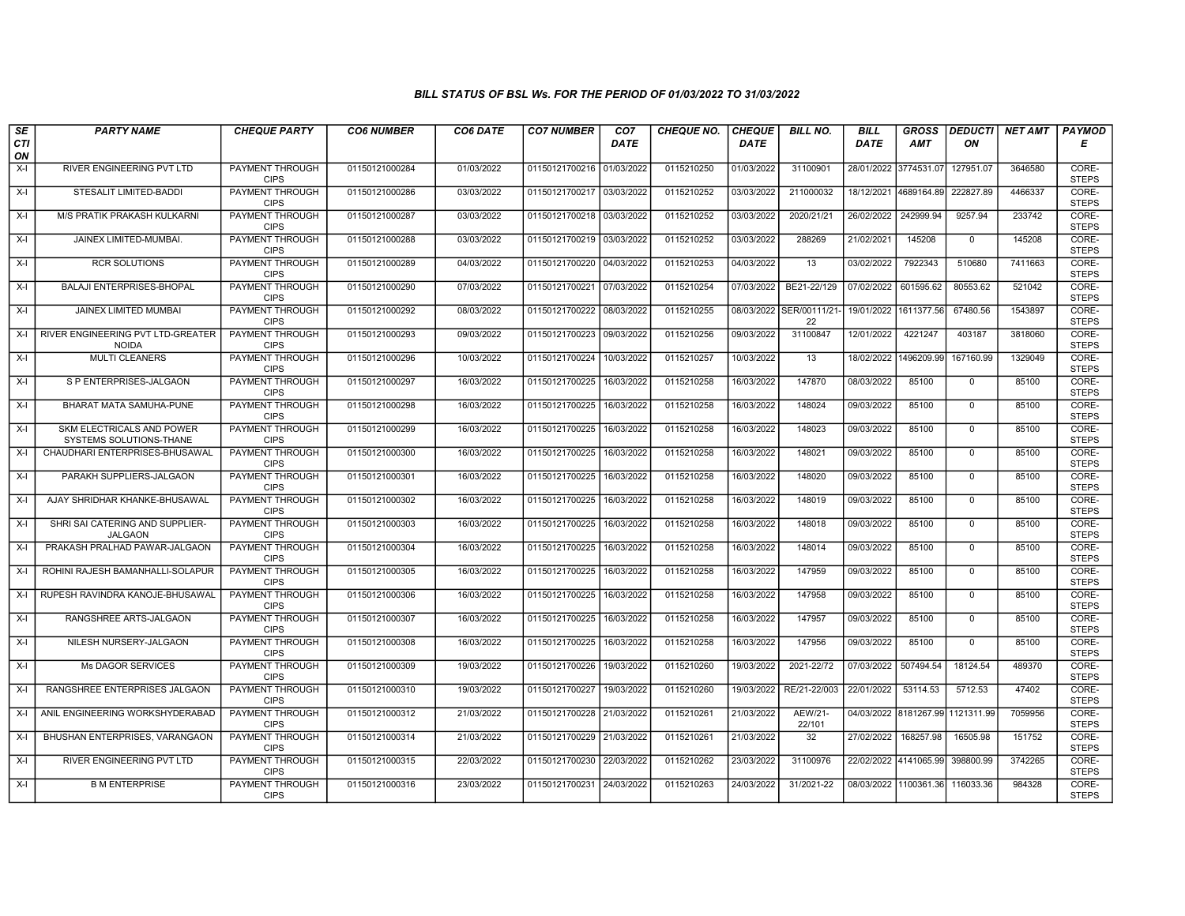| SE        | <b>PARTY NAME</b>                                    | <b>CHEQUE PARTY</b>                   | <b>CO6 NUMBER</b> | CO6 DATE   | <b>CO7 NUMBER</b>         | CO <sub>7</sub> | <b>CHEQUE NO.</b> | <b>CHEQUE</b> | <b>BILL NO.</b>                | <b>BILL</b> | <b>GROSS</b>          |              | DEDUCTI  NET AMT | <b>PAYMOD</b>         |
|-----------|------------------------------------------------------|---------------------------------------|-------------------|------------|---------------------------|-----------------|-------------------|---------------|--------------------------------|-------------|-----------------------|--------------|------------------|-----------------------|
| CTI<br>ON |                                                      |                                       |                   |            |                           | <b>DATE</b>     |                   | <b>DATE</b>   |                                | <b>DATE</b> | <b>AMT</b>            | ON           |                  | Е                     |
| $X-I$     | RIVER ENGINEERING PVT LTD                            | <b>PAYMENT THROUGH</b><br><b>CIPS</b> | 01150121000284    | 01/03/2022 | 01150121700216            | 01/03/2022      | 0115210250        | 01/03/2022    | 31100901                       |             | 28/01/2022 3774531.07 | 127951.07    | 3646580          | CORE-<br><b>STEPS</b> |
| $X-I$     | STESALIT LIMITED-BADDI                               | <b>PAYMENT THROUGH</b><br><b>CIPS</b> | 01150121000286    | 03/03/2022 | 01150121700217            | 03/03/2022      | 0115210252        | 03/03/2022    | 211000032                      |             | 18/12/2021 4689164.89 | 222827.89    | 4466337          | CORE-<br><b>STEPS</b> |
| $X-I$     | M/S PRATIK PRAKASH KULKARNI                          | PAYMENT THROUGH<br><b>CIPS</b>        | 01150121000287    | 03/03/2022 | 01150121700218 03/03/2022 |                 | 0115210252        | 03/03/2022    | 2020/21/21                     | 26/02/2022  | 242999.94             | 9257.94      | 233742           | CORE-<br><b>STEPS</b> |
| $X-I$     | JAINEX LIMITED-MUMBAI.                               | PAYMENT THROUGH<br><b>CIPS</b>        | 01150121000288    | 03/03/2022 | 01150121700219            | 03/03/2022      | 0115210252        | 03/03/2022    | 288269                         | 21/02/2021  | 145208                | $\mathbf 0$  | 145208           | CORE-<br><b>STEPS</b> |
| $X-I$     | <b>RCR SOLUTIONS</b>                                 | <b>PAYMENT THROUGH</b><br><b>CIPS</b> | 01150121000289    | 04/03/2022 | 01150121700220 04/03/2022 |                 | 0115210253        | 04/03/2022    | 13                             | 03/02/2022  | 7922343               | 510680       | 7411663          | CORE-<br><b>STEPS</b> |
| $X-I$     | <b>BALAJI ENTERPRISES-BHOPAL</b>                     | <b>PAYMENT THROUGH</b><br><b>CIPS</b> | 01150121000290    | 07/03/2022 | 01150121700221            | 07/03/2022      | 0115210254        | 07/03/2022    | BE21-22/129                    | 07/02/2022  | 601595.62             | 80553.62     | 521042           | CORE-<br><b>STEPS</b> |
| $X-I$     | JAINEX LIMITED MUMBAI                                | PAYMENT THROUGH<br><b>CIPS</b>        | 01150121000292    | 08/03/2022 | 01150121700222            | 08/03/2022      | 0115210255        |               | 08/03/2022 SER/00111/21-<br>22 | 19/01/2022  | 1611377.56            | 67480.56     | 1543897          | CORE-<br><b>STEPS</b> |
| $X-I$     | RIVER ENGINEERING PVT LTD-GREATER<br><b>NOIDA</b>    | <b>PAYMENT THROUGH</b><br><b>CIPS</b> | 01150121000293    | 09/03/2022 | 01150121700223            | 09/03/2022      | 0115210256        | 09/03/2022    | 31100847                       | 12/01/2022  | 4221247               | 403187       | 3818060          | CORE-<br><b>STEPS</b> |
| $X-I$     | <b>MULTI CLEANERS</b>                                | <b>PAYMENT THROUGH</b><br><b>CIPS</b> | 01150121000296    | 10/03/2022 | 01150121700224            | 10/03/2022      | 0115210257        | 10/03/2022    | 13                             | 18/02/2022  | 1496209.99            | 167160.99    | 1329049          | CORE-<br><b>STEPS</b> |
| $X-I$     | S P ENTERPRISES-JALGAON                              | <b>PAYMENT THROUGH</b><br><b>CIPS</b> | 01150121000297    | 16/03/2022 | 01150121700225            | 16/03/2022      | 0115210258        | 16/03/2022    | 147870                         | 08/03/2022  | 85100                 | 0            | 85100            | CORE-<br><b>STEPS</b> |
| $X-I$     | BHARAT MATA SAMUHA-PUNE                              | PAYMENT THROUGH<br><b>CIPS</b>        | 01150121000298    | 16/03/2022 | 01150121700225            | 16/03/2022      | 0115210258        | 16/03/2022    | 148024                         | 09/03/2022  | 85100                 | $\mathbf 0$  | 85100            | CORE-<br><b>STEPS</b> |
| $X-I$     | SKM ELECTRICALS AND POWER<br>SYSTEMS SOLUTIONS-THANE | PAYMENT THROUGH<br><b>CIPS</b>        | 01150121000299    | 16/03/2022 | 01150121700225            | 16/03/2022      | 0115210258        | 16/03/2022    | 148023                         | 09/03/2022  | 85100                 | $\mathbf 0$  | 85100            | CORE-<br><b>STEPS</b> |
| $X-I$     | CHAUDHARI ENTERPRISES-BHUSAWAL                       | <b>PAYMENT THROUGH</b><br><b>CIPS</b> | 01150121000300    | 16/03/2022 | 01150121700225            | 16/03/2022      | 0115210258        | 16/03/2022    | 148021                         | 09/03/2022  | 85100                 | $\mathbf 0$  | 85100            | CORE-<br><b>STEPS</b> |
| $X-I$     | PARAKH SUPPLIERS-JALGAON                             | <b>PAYMENT THROUGH</b><br><b>CIPS</b> | 01150121000301    | 16/03/2022 | 01150121700225            | 16/03/2022      | 0115210258        | 16/03/2022    | 148020                         | 09/03/2022  | 85100                 | $\mathbf{0}$ | 85100            | CORE-<br><b>STEPS</b> |
| $X-I$     | AJAY SHRIDHAR KHANKE-BHUSAWAL                        | PAYMENT THROUGH<br><b>CIPS</b>        | 01150121000302    | 16/03/2022 | 01150121700225            | 16/03/2022      | 0115210258        | 16/03/2022    | 148019                         | 09/03/2022  | 85100                 | $\Omega$     | 85100            | CORE-<br><b>STEPS</b> |
| $X-I$     | SHRI SAI CATERING AND SUPPLIER-<br><b>JALGAON</b>    | PAYMENT THROUGH<br><b>CIPS</b>        | 01150121000303    | 16/03/2022 | 01150121700225            | 16/03/2022      | 0115210258        | 16/03/2022    | 148018                         | 09/03/2022  | 85100                 | $\mathbf 0$  | 85100            | CORE-<br><b>STEPS</b> |
| $X-I$     | PRAKASH PRALHAD PAWAR-JALGAON                        | PAYMENT THROUGH<br><b>CIPS</b>        | 01150121000304    | 16/03/2022 | 01150121700225            | 16/03/2022      | 0115210258        | 16/03/2022    | 148014                         | 09/03/2022  | 85100                 | $\mathbf 0$  | 85100            | CORE-<br><b>STEPS</b> |
| $X-I$     | ROHINI RAJESH BAMANHALLI-SOLAPUR                     | <b>PAYMENT THROUGH</b><br><b>CIPS</b> | 01150121000305    | 16/03/2022 | 01150121700225            | 16/03/2022      | 0115210258        | 16/03/2022    | 147959                         | 09/03/2022  | 85100                 | $\mathbf 0$  | 85100            | CORE-<br><b>STEPS</b> |
| X-l       | RUPESH RAVINDRA KANOJE-BHUSAWAL                      | PAYMENT THROUGH<br><b>CIPS</b>        | 01150121000306    | 16/03/2022 | 01150121700225            | 16/03/2022      | 0115210258        | 16/03/2022    | 147958                         | 09/03/2022  | 85100                 | $\mathbf 0$  | 85100            | CORE-<br><b>STEPS</b> |
| $X-I$     | RANGSHREE ARTS-JALGAON                               | PAYMENT THROUGH<br><b>CIPS</b>        | 01150121000307    | 16/03/2022 | 01150121700225            | 16/03/2022      | 0115210258        | 16/03/2022    | 147957                         | 09/03/2022  | 85100                 | $\mathbf 0$  | 85100            | CORE-<br><b>STEPS</b> |
| $X-I$     | NILESH NURSERY-JALGAON                               | PAYMENT THROUGH<br><b>CIPS</b>        | 01150121000308    | 16/03/2022 | 01150121700225            | 16/03/2022      | 0115210258        | 16/03/2022    | 147956                         | 09/03/2022  | 85100                 | $\mathbf{0}$ | 85100            | CORE-<br><b>STEPS</b> |
| $X-I$     | <b>Ms DAGOR SERVICES</b>                             | PAYMENT THROUGH<br><b>CIPS</b>        | 01150121000309    | 19/03/2022 | 01150121700226            | 19/03/2022      | 0115210260        | 19/03/2022    | 2021-22/72                     | 07/03/2022  | 507494.54             | 18124.54     | 489370           | CORE-<br><b>STEPS</b> |
| $X-I$     | RANGSHREE ENTERPRISES JALGAON                        | PAYMENT THROUGH<br><b>CIPS</b>        | 01150121000310    | 19/03/2022 | 01150121700227            | 19/03/2022      | 0115210260        | 19/03/2022    | RE/21-22/003                   | 22/01/2022  | 53114.53              | 5712.53      | 47402            | CORE-<br><b>STEPS</b> |
| $X-I$     | ANIL ENGINEERING WORKSHYDERABAD                      | PAYMENT THROUGH<br><b>CIPS</b>        | 01150121000312    | 21/03/2022 | 01150121700228            | 21/03/2022      | 0115210261        | 21/03/2022    | AEW/21-<br>22/101              |             | 04/03/2022 8181267.99 | 1121311.99   | 7059956          | CORE-<br><b>STEPS</b> |
| $X-I$     | BHUSHAN ENTERPRISES, VARANGAON                       | PAYMENT THROUGH<br><b>CIPS</b>        | 01150121000314    | 21/03/2022 | 01150121700229            | 21/03/2022      | 0115210261        | 21/03/2022    | 32                             | 27/02/2022  | 168257.98             | 16505.98     | 151752           | CORE-<br><b>STEPS</b> |
| $X-I$     | RIVER ENGINEERING PVT LTD                            | <b>PAYMENT THROUGH</b><br><b>CIPS</b> | 01150121000315    | 22/03/2022 | 01150121700230            | 22/03/2022      | 0115210262        | 23/03/2022    | 31100976                       |             | 22/02/2022 4141065.99 | 398800.99    | 3742265          | CORE-<br><b>STEPS</b> |
| $X-I$     | <b>B M ENTERPRISE</b>                                | <b>PAYMENT THROUGH</b><br><b>CIPS</b> | 01150121000316    | 23/03/2022 | 01150121700231            | 24/03/2022      | 0115210263        | 24/03/2022    | 31/2021-22                     |             | 08/03/2022 1100361.36 | 116033.36    | 984328           | CORE-<br><b>STEPS</b> |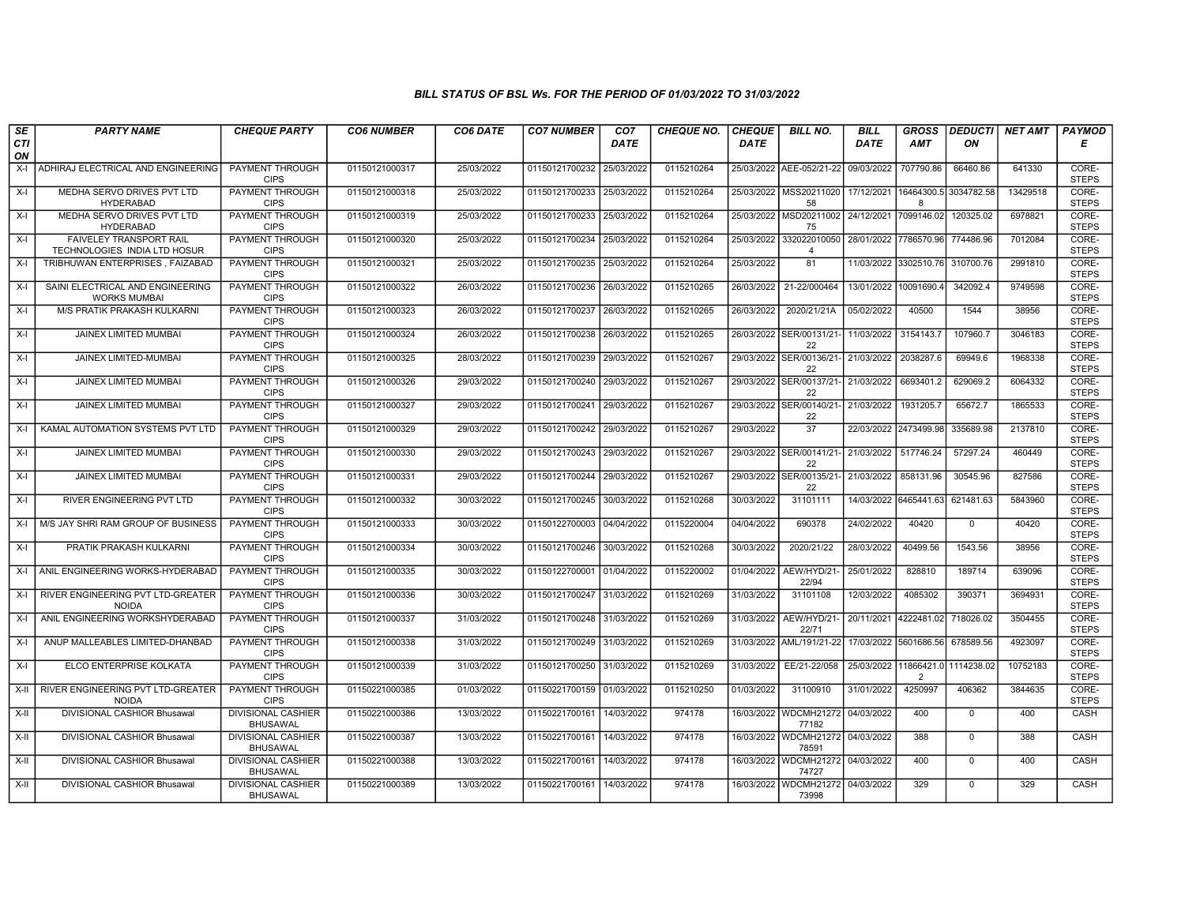| SE        | <b>PARTY NAME</b>                                              | <b>CHEQUE PARTY</b>                          | <b>CO6 NUMBER</b> | CO6 DATE   | <b>CO7 NUMBER</b>         | CO <sub>7</sub> | <b>CHEQUE NO.</b> | <b>CHEQUE</b> | <b>BILL NO.</b>                           | <b>BILL</b>           | <b>GROSS</b>          | <b>DEDUCTI</b> | NET AMT  | <b>PAYMOD</b>         |
|-----------|----------------------------------------------------------------|----------------------------------------------|-------------------|------------|---------------------------|-----------------|-------------------|---------------|-------------------------------------------|-----------------------|-----------------------|----------------|----------|-----------------------|
| CTI<br>ON |                                                                |                                              |                   |            |                           | <b>DATE</b>     |                   | DATE          |                                           | <b>DATE</b>           | <b>AMT</b>            | ON             |          | Е                     |
| $X-I$     | ADHIRAJ ELECTRICAL AND ENGINEERING                             | <b>PAYMENT THROUGH</b><br><b>CIPS</b>        | 01150121000317    | 25/03/2022 | 01150121700232 25/03/2022 |                 | 0115210264        |               | 25/03/2022 AEE-052/21-22                  | 09/03/2022            | 707790.86             | 66460.86       | 641330   | CORE-<br><b>STEPS</b> |
| $X-I$     | MEDHA SERVO DRIVES PVT LTD<br><b>HYDERABAD</b>                 | PAYMENT THROUGH<br><b>CIPS</b>               | 01150121000318    | 25/03/2022 | 01150121700233 25/03/2022 |                 | 0115210264        |               | 25/03/2022   MSS20211020<br>58            | 17/12/2021 16464300.5 | $\mathsf{R}$          | 3034782.58     | 13429518 | CORE-<br><b>STEPS</b> |
| $X-I$     | MEDHA SERVO DRIVES PVT LTD<br><b>HYDERABAD</b>                 | <b>PAYMENT THROUGH</b><br><b>CIPS</b>        | 01150121000319    | 25/03/2022 | 01150121700233            | 25/03/2022      | 0115210264        |               | 25/03/2022 MSD20211002<br>75              | 24/12/2021 7099146.02 |                       | 120325.02      | 6978821  | CORE-<br><b>STEPS</b> |
| $X-I$     | <b>FAIVELEY TRANSPORT RAIL</b><br>TECHNOLOGIES INDIA LTD HOSUR | PAYMENT THROUGH<br><b>CIPS</b>               | 01150121000320    | 25/03/2022 | 01150121700234            | 25/03/2022      | 0115210264        | 25/03/2022    | 332022010050<br>$\overline{\mathbf{4}}$   | 28/01/2022 7786570.96 |                       | 774486.96      | 7012084  | CORE-<br><b>STEPS</b> |
| $X-I$     | TRIBHUWAN ENTERPRISES, FAIZABAD                                | <b>PAYMENT THROUGH</b><br><b>CIPS</b>        | 01150121000321    | 25/03/2022 | 01150121700235            | 25/03/2022      | 0115210264        | 25/03/2022    | 81                                        | 11/03/2022 3302510.76 |                       | 310700.76      | 2991810  | CORE-<br><b>STEPS</b> |
| X-I       | SAINI ELECTRICAL AND ENGINEERING<br><b>WORKS MUMBAI</b>        | <b>PAYMENT THROUGH</b><br><b>CIPS</b>        | 01150121000322    | 26/03/2022 | 01150121700236 26/03/2022 |                 | 0115210265        |               | 26/03/2022 21-22/000464                   | 13/01/2022 10091690.4 |                       | 342092.4       | 9749598  | CORE-<br><b>STEPS</b> |
| $X-I$     | M/S PRATIK PRAKASH KULKARNI                                    | PAYMENT THROUGH<br><b>CIPS</b>               | 01150121000323    | 26/03/2022 | 01150121700237            | 26/03/2022      | 0115210265        | 26/03/2022    | 2020/21/21A                               | 05/02/2022            | 40500                 | 1544           | 38956    | CORE-<br><b>STEPS</b> |
| $X-I$     | JAINEX LIMITED MUMBAI                                          | <b>PAYMENT THROUGH</b><br><b>CIPS</b>        | 01150121000324    | 26/03/2022 | 01150121700238            | 26/03/2022      | 0115210265        |               | 26/03/2022 SER/00131/21-<br>22            | 11/03/2022            | 3154143.7             | 107960.7       | 3046183  | CORE-<br><b>STEPS</b> |
| $X-I$     | JAINEX LIMITED-MUMBAI                                          | PAYMENT THROUGH<br><b>CIPS</b>               | 01150121000325    | 28/03/2022 | 01150121700239            | 29/03/2022      | 0115210267        |               | 29/03/2022 SER/00136/21-<br>22            | 21/03/2022            | 2038287.6             | 69949.6        | 1968338  | CORE-<br><b>STEPS</b> |
| $X-I$     | <b>JAINEX LIMITED MUMBAI</b>                                   | PAYMENT THROUGH<br><b>CIPS</b>               | 01150121000326    | 29/03/2022 | 01150121700240 29/03/2022 |                 | 0115210267        |               | 29/03/2022 SER/00137/21- 21/03/2022<br>22 |                       | 6693401.2             | 629069.2       | 6064332  | CORE-<br><b>STEPS</b> |
| $X-I$     | JAINEX LIMITED MUMBAI                                          | PAYMENT THROUGH<br><b>CIPS</b>               | 01150121000327    | 29/03/2022 | 01150121700241            | 29/03/2022      | 0115210267        |               | 29/03/2022 SER/00140/21-<br>22            | 21/03/2022            | 1931205.7             | 65672.7        | 1865533  | CORE-<br><b>STEPS</b> |
| $X-I$     | KAMAL AUTOMATION SYSTEMS PVT LTD                               | PAYMENT THROUGH<br><b>CIPS</b>               | 01150121000329    | 29/03/2022 | 01150121700242 29/03/2022 |                 | 0115210267        | 29/03/2022    | $\overline{37}$                           | 22/03/2022 2473499.98 |                       | 335689.98      | 2137810  | CORE-<br><b>STEPS</b> |
| $X-I$     | JAINEX LIMITED MUMBAI                                          | <b>PAYMENT THROUGH</b><br><b>CIPS</b>        | 01150121000330    | 29/03/2022 | 01150121700243            | 29/03/2022      | 0115210267        |               | 29/03/2022 SER/00141/21-<br>22            | 21/03/2022 517746.24  |                       | 57297.24       | 460449   | CORE-<br><b>STEPS</b> |
| $X-I$     | JAINEX LIMITED MUMBAI                                          | <b>PAYMENT THROUGH</b><br><b>CIPS</b>        | 01150121000331    | 29/03/2022 | 01150121700244            | 29/03/2022      | 0115210267        |               | 29/03/2022 SER/00135/21-<br>22            | 21/03/2022            | 858131.96             | 30545.96       | 827586   | CORE-<br><b>STEPS</b> |
| $X-I$     | <b>RIVER ENGINEERING PVT LTD</b>                               | PAYMENT THROUGH<br><b>CIPS</b>               | 01150121000332    | 30/03/2022 | 01150121700245            | 30/03/2022      | 0115210268        | 30/03/2022    | 31101111                                  |                       | 14/03/2022 6465441.63 | 621481.63      | 5843960  | CORE-<br><b>STEPS</b> |
| $X-I$     | M/S JAY SHRI RAM GROUP OF BUSINESS                             | PAYMENT THROUGH<br><b>CIPS</b>               | 01150121000333    | 30/03/2022 | 01150122700003 04/04/2022 |                 | 0115220004        | 04/04/2022    | 690378                                    | 24/02/2022            | 40420                 | $\mathbf 0$    | 40420    | CORE-<br><b>STEPS</b> |
| $X-I$     | PRATIK PRAKASH KULKARNI                                        | PAYMENT THROUGH<br><b>CIPS</b>               | 01150121000334    | 30/03/2022 | 01150121700246            | 30/03/2022      | 0115210268        | 30/03/2022    | 2020/21/22                                | 28/03/2022            | 40499.56              | 1543.56        | 38956    | CORE-<br><b>STEPS</b> |
|           | X-I ANIL ENGINEERING WORKS-HYDERABAD                           | <b>PAYMENT THROUGH</b><br><b>CIPS</b>        | 01150121000335    | 30/03/2022 | 01150122700001            | 01/04/2022      | 0115220002        | 01/04/2022    | AEW/HYD/21<br>22/94                       | 25/01/2022            | 828810                | 189714         | 639096   | CORE-<br><b>STEPS</b> |
| $X-I$     | RIVER ENGINEERING PVT LTD-GREATER<br><b>NOIDA</b>              | PAYMENT THROUGH<br><b>CIPS</b>               | 01150121000336    | 30/03/2022 | 01150121700247            | 31/03/2022      | 0115210269        | 31/03/2022    | 31101108                                  | 12/03/2022            | 4085302               | 390371         | 3694931  | CORE-<br><b>STEPS</b> |
| $X-I$     | ANIL ENGINEERING WORKSHYDERABAD                                | PAYMENT THROUGH<br><b>CIPS</b>               | 01150121000337    | 31/03/2022 | 01150121700248            | 31/03/2022      | 0115210269        |               | 31/03/2022 AEW/HYD/21-<br>22/71           | 20/11/2021 4222481.02 |                       | 718026.02      | 3504455  | CORE-<br><b>STEPS</b> |
| $X-I$     | ANUP MALLEABLES LIMITED-DHANBAD                                | PAYMENT THROUGH<br><b>CIPS</b>               | 01150121000338    | 31/03/2022 | 01150121700249            | 31/03/2022      | 0115210269        | 31/03/2022    | AML/191/21-22                             | 17/03/2022 5601686.56 |                       | 678589.56      | 4923097  | CORE-<br><b>STEPS</b> |
| $X-I$     | ELCO ENTERPRISE KOLKATA                                        | <b>PAYMENT THROUGH</b><br><b>CIPS</b>        | 01150121000339    | 31/03/2022 | 01150121700250 31/03/2022 |                 | 0115210269        | 31/03/2022    | EE/21-22/058                              | 25/03/2022 11866421.0 | 2                     | 1114238.02     | 10752183 | CORE-<br><b>STEPS</b> |
| $X-H$     | RIVER ENGINEERING PVT LTD-GREATER<br><b>NOIDA</b>              | PAYMENT THROUGH<br><b>CIPS</b>               | 01150221000385    | 01/03/2022 | 01150221700159            | 01/03/2022      | 0115210250        | 01/03/2022    | 31100910                                  | 31/01/2022            | 4250997               | 406362         | 3844635  | CORE-<br><b>STEPS</b> |
| X-II      | DIVISIONAL CASHIOR Bhusawal                                    | <b>DIVISIONAL CASHIER</b><br><b>BHUSAWAL</b> | 01150221000386    | 13/03/2022 | 01150221700161            | 14/03/2022      | 974178            |               | 16/03/2022 WDCMH21272<br>77182            | 04/03/2022            | 400                   | $\mathbf 0$    | 400      | CASH                  |
| X-II      | DIVISIONAL CASHIOR Bhusawal                                    | <b>DIVISIONAL CASHIER</b><br><b>BHUSAWAL</b> | 01150221000387    | 13/03/2022 | 01150221700161            | 14/03/2022      | 974178            |               | 16/03/2022 WDCMH21272<br>78591            | 04/03/2022            | 388                   | $\Omega$       | 388      | CASH                  |
| $X-H$     | DIVISIONAL CASHIOR Bhusawal                                    | <b>DIVISIONAL CASHIER</b><br><b>BHUSAWAL</b> | 01150221000388    | 13/03/2022 | 01150221700161            | 14/03/2022      | 974178            |               | 16/03/2022 WDCMH21272<br>74727            | 04/03/2022            | 400                   | $\mathbf 0$    | 400      | <b>CASH</b>           |
| X-II      | DIVISIONAL CASHIOR Bhusawal                                    | <b>DIVISIONAL CASHIER</b><br><b>BHUSAWAL</b> | 01150221000389    | 13/03/2022 | 01150221700161 14/03/2022 |                 | 974178            | 16/03/2022    | <b>WDCMH21272</b><br>73998                | 04/03/2022            | 329                   | $\mathbf{0}$   | 329      | CASH                  |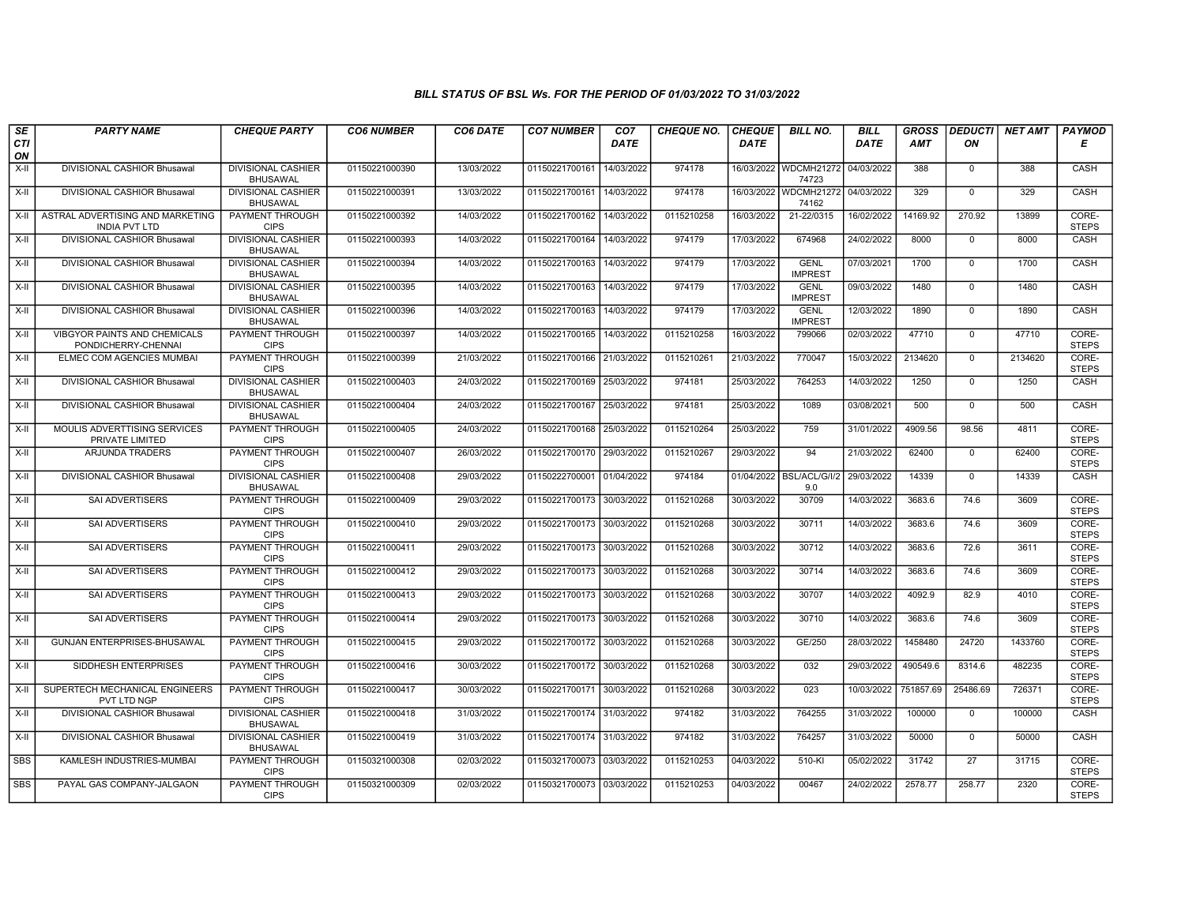| SE         | <b>PARTY NAME</b>                                          | <b>CHEQUE PARTY</b>                                      | <b>CO6 NUMBER</b> | CO6 DATE   | <b>CO7 NUMBER</b>         | CO <sub>7</sub> | <b>CHEQUE NO.</b> | <b>CHEQUE</b> | <b>BILL NO.</b>                           | <b>BILL</b> | <b>GROSS</b> | <b>DEDUCTI</b>          | <b>NET AMT</b> | <b>PAYMOD</b>                  |
|------------|------------------------------------------------------------|----------------------------------------------------------|-------------------|------------|---------------------------|-----------------|-------------------|---------------|-------------------------------------------|-------------|--------------|-------------------------|----------------|--------------------------------|
| CTI<br>ON  |                                                            |                                                          |                   |            |                           | <b>DATE</b>     |                   | <b>DATE</b>   |                                           | <b>DATE</b> | <b>AMT</b>   | ON                      |                | Е                              |
| $X-H$      | DIVISIONAL CASHIOR Bhusawal                                | <b>DIVISIONAL CASHIER</b><br><b>BHUSAWAL</b>             | 01150221000390    | 13/03/2022 | 01150221700161            | 14/03/2022      | 974178            |               | 16/03/2022 WDCMH21272<br>74723            | 04/03/2022  | 388          | $\mathbf{0}$            | 388            | CASH                           |
| $X-H$      | DIVISIONAL CASHIOR Bhusawal                                | <b>DIVISIONAL CASHIER</b><br><b>BHUSAWAL</b>             | 01150221000391    | 13/03/2022 | 01150221700161            | 14/03/2022      | 974178            |               | 16/03/2022 WDCMH21272 04/03/2022<br>74162 |             | 329          | $\Omega$                | 329            | CASH                           |
| $X-H$      | ASTRAL ADVERTISING AND MARKETING<br><b>INDIA PVT LTD</b>   | PAYMENT THROUGH<br><b>CIPS</b>                           | 01150221000392    | 14/03/2022 | 01150221700162            | 14/03/2022      | 0115210258        | 16/03/2022    | 21-22/0315                                | 16/02/2022  | 14169.92     | 270.92                  | 13899          | CORE-<br><b>STEPS</b>          |
| $X-II$     | DIVISIONAL CASHIOR Bhusawal                                | <b>DIVISIONAL CASHIER</b><br><b>BHUSAWAL</b>             | 01150221000393    | 14/03/2022 | 01150221700164            | 14/03/2022      | 974179            | 17/03/2022    | 674968                                    | 24/02/2022  | 8000         | $\mathbf 0$             | 8000           | CASH                           |
| $X-H$      | <b>DIVISIONAL CASHIOR Bhusawal</b>                         | <b>DIVISIONAL CASHIER</b><br><b>BHUSAWAL</b>             | 01150221000394    | 14/03/2022 | 01150221700163            | 14/03/2022      | 974179            | 17/03/2022    | <b>GENL</b><br><b>IMPREST</b>             | 07/03/2021  | 1700         | $\mathbf 0$             | 1700           | CASH                           |
| $X-H$      | <b>DIVISIONAL CASHIOR Bhusawal</b>                         | <b>DIVISIONAL CASHIER</b><br><b>BHUSAWAL</b>             | 01150221000395    | 14/03/2022 | 01150221700163            | 14/03/2022      | 974179            | 17/03/2022    | <b>GENL</b><br><b>IMPREST</b>             | 09/03/2022  | 1480         | $\Omega$                | 1480           | CASH                           |
| X-II       | DIVISIONAL CASHIOR Bhusawal                                | <b>DIVISIONAL CASHIER</b><br><b>BHUSAWAL</b>             | 01150221000396    | 14/03/2022 | 01150221700163            | 14/03/2022      | 974179            | 17/03/2022    | <b>GENL</b><br><b>IMPREST</b>             | 12/03/2022  | 1890         | $\mathbf{0}$            | 1890           | CASH                           |
| $X-H$      | VIBGYOR PAINTS AND CHEMICALS<br>PONDICHERRY-CHENNAI        | PAYMENT THROUGH<br><b>CIPS</b>                           | 01150221000397    | 14/03/2022 | 01150221700165            | 14/03/2022      | 0115210258        | 16/03/2022    | 799066                                    | 02/03/2022  | 47710        | $\overline{0}$          | 47710          | CORE-<br><b>STEPS</b>          |
| $X-H$      | ELMEC COM AGENCIES MUMBAI                                  | <b>PAYMENT THROUGH</b><br><b>CIPS</b>                    | 01150221000399    | 21/03/2022 | 01150221700166 21/03/2022 |                 | 0115210261        | 21/03/2022    | 770047                                    | 15/03/2022  | 2134620      | $\mathbf 0$             | 2134620        | CORE-<br><b>STEPS</b>          |
| $X-H$      | DIVISIONAL CASHIOR Bhusawal                                | <b>DIVISIONAL CASHIER</b><br><b>BHUSAWAL</b>             | 01150221000403    | 24/03/2022 | 01150221700169 25/03/2022 |                 | 974181            | 25/03/2022    | 764253                                    | 14/03/2022  | 1250         | $\mathbf{0}$            | 1250           | CASH                           |
| X-II       | DIVISIONAL CASHIOR Bhusawal                                | <b>DIVISIONAL CASHIER</b><br><b>BHUSAWAL</b>             | 01150221000404    | 24/03/2022 | 01150221700167            | 25/03/2022      | 974181            | 25/03/2022    | 1089                                      | 03/08/2021  | 500          | $\mathbf 0$             | 500            | CASH                           |
| X-II       | MOULIS ADVERTTISING SERVICES<br>PRIVATE LIMITED            | PAYMENT THROUGH<br><b>CIPS</b>                           | 01150221000405    | 24/03/2022 | 01150221700168 25/03/2022 |                 | 0115210264        | 25/03/2022    | 759                                       | 31/01/2022  | 4909.56      | 98.56                   | 4811           | CORE-<br><b>STEPS</b>          |
| $X-H$      | <b>ARJUNDA TRADERS</b>                                     | <b>PAYMENT THROUGH</b><br><b>CIPS</b>                    | 01150221000407    | 26/03/2022 | 01150221700170 29/03/2022 |                 | 0115210267        | 29/03/2022    | 94                                        | 21/03/2022  | 62400        | $\mathbf{0}$            | 62400          | CORE-<br><b>STEPS</b>          |
| $X-H$      | DIVISIONAL CASHIOR Bhusawal                                | <b>DIVISIONAL CASHIER</b><br><b>BHUSAWAL</b>             | 01150221000408    | 29/03/2022 | 01150222700001            | 01/04/2022      | 974184            |               | 01/04/2022 BSL/ACL/G/I/2<br>9.0           | 29/03/2022  | 14339        | $\mathbf 0$             | 14339          | CASH                           |
| X-II       | SAI ADVERTISERS                                            | PAYMENT THROUGH<br><b>CIPS</b>                           | 01150221000409    | 29/03/2022 | 01150221700173            | 30/03/2022      | 0115210268        | 30/03/2022    | 30709                                     | 14/03/2022  | 3683.6       | 74.6                    | 3609           | CORE-<br><b>STEPS</b>          |
| X-II       | SAI ADVERTISERS                                            | PAYMENT THROUGH<br><b>CIPS</b>                           | 01150221000410    | 29/03/2022 | 01150221700173 30/03/2022 |                 | 0115210268        | 30/03/2022    | 30711                                     | 14/03/2022  | 3683.6       | 74.6                    | 3609           | CORE-<br><b>STEPS</b>          |
| X-II       | <b>SAI ADVERTISERS</b>                                     | PAYMENT THROUGH<br><b>CIPS</b>                           | 01150221000411    | 29/03/2022 | 01150221700173            | 30/03/2022      | 0115210268        | 30/03/2022    | 30712                                     | 14/03/2022  | 3683.6       | 72.6                    | 3611           | CORE-<br><b>STEPS</b>          |
| X-II       | <b>SAI ADVERTISERS</b>                                     | <b>PAYMENT THROUGH</b><br><b>CIPS</b>                    | 01150221000412    | 29/03/2022 | 01150221700173            | 30/03/2022      | 0115210268        | 30/03/2022    | 30714                                     | 14/03/2022  | 3683.6       | 74.6                    | 3609           | CORE-<br><b>STEPS</b>          |
| X-II       | SAI ADVERTISERS                                            | <b>PAYMENT THROUGH</b><br><b>CIPS</b>                    | 01150221000413    | 29/03/2022 | 01150221700173 30/03/2022 |                 | 0115210268        | 30/03/2022    | 30707                                     | 14/03/2022  | 4092.9       | 82.9                    | 4010           | CORE-<br><b>STEPS</b>          |
| X-II       | SAI ADVERTISERS                                            | PAYMENT THROUGH<br><b>CIPS</b>                           | 01150221000414    | 29/03/2022 | 01150221700173            | 30/03/2022      | 0115210268        | 30/03/2022    | 30710                                     | 14/03/2022  | 3683.6       | 74.6                    | 3609           | CORE-<br><b>STEPS</b>          |
| X-II       | <b>GUNJAN ENTERPRISES-BHUSAWAL</b><br>SIDDHESH ENTERPRISES | PAYMENT THROUGH<br><b>CIPS</b><br><b>PAYMENT THROUGH</b> | 01150221000415    | 29/03/2022 | 01150221700172 30/03/2022 |                 | 0115210268        | 30/03/2022    | GE/250                                    | 28/03/2022  | 1458480      | 24720                   | 1433760        | CORE-<br><b>STEPS</b><br>CORE- |
| $X-H$      |                                                            | <b>CIPS</b>                                              | 01150221000416    | 30/03/2022 | 01150221700172            | 30/03/2022      | 0115210268        | 30/03/2022    | 032                                       | 29/03/2022  | 490549.6     | 8314.6                  | 482235         | <b>STEPS</b>                   |
| X-II       | SUPERTECH MECHANICAL ENGINEERS<br>PVT LTD NGP              | PAYMENT THROUGH<br><b>CIPS</b>                           | 01150221000417    | 30/03/2022 | 01150221700171            | 30/03/2022      | 0115210268        | 30/03/2022    | 023                                       | 10/03/2022  | 751857.69    | 25486.69                | 726371         | CORE-<br><b>STEPS</b>          |
| $X-II$     | DIVISIONAL CASHIOR Bhusawal                                | <b>DIVISIONAL CASHIER</b><br><b>BHUSAWAL</b>             | 01150221000418    | 31/03/2022 | 01150221700174            | 31/03/2022      | 974182            | 31/03/2022    | 764255                                    | 31/03/2022  | 100000       | $\mathbf 0$<br>$\Omega$ | 100000         | CASH                           |
| X-II       | DIVISIONAL CASHIOR Bhusawal                                | <b>DIVISIONAL CASHIER</b><br><b>BHUSAWAL</b>             | 01150221000419    | 31/03/2022 | 01150221700174 31/03/2022 |                 | 974182            | 31/03/2022    | 764257                                    | 31/03/2022  | 50000        |                         | 50000          | CASH                           |
| <b>SBS</b> | KAMLESH INDUSTRIES-MUMBAI                                  | <b>PAYMENT THROUGH</b><br><b>CIPS</b>                    | 01150321000308    | 02/03/2022 | 01150321700073 03/03/2022 |                 | 0115210253        | 04/03/2022    | 510-KI                                    | 05/02/2022  | 31742        | 27                      | 31715          | CORE-<br><b>STEPS</b>          |
| SBS        | PAYAL GAS COMPANY-JALGAON                                  | PAYMENT THROUGH<br><b>CIPS</b>                           | 01150321000309    | 02/03/2022 | 01150321700073 03/03/2022 |                 | 0115210253        | 04/03/2022    | 00467                                     | 24/02/2022  | 2578.77      | 258.77                  | 2320           | CORE-<br><b>STEPS</b>          |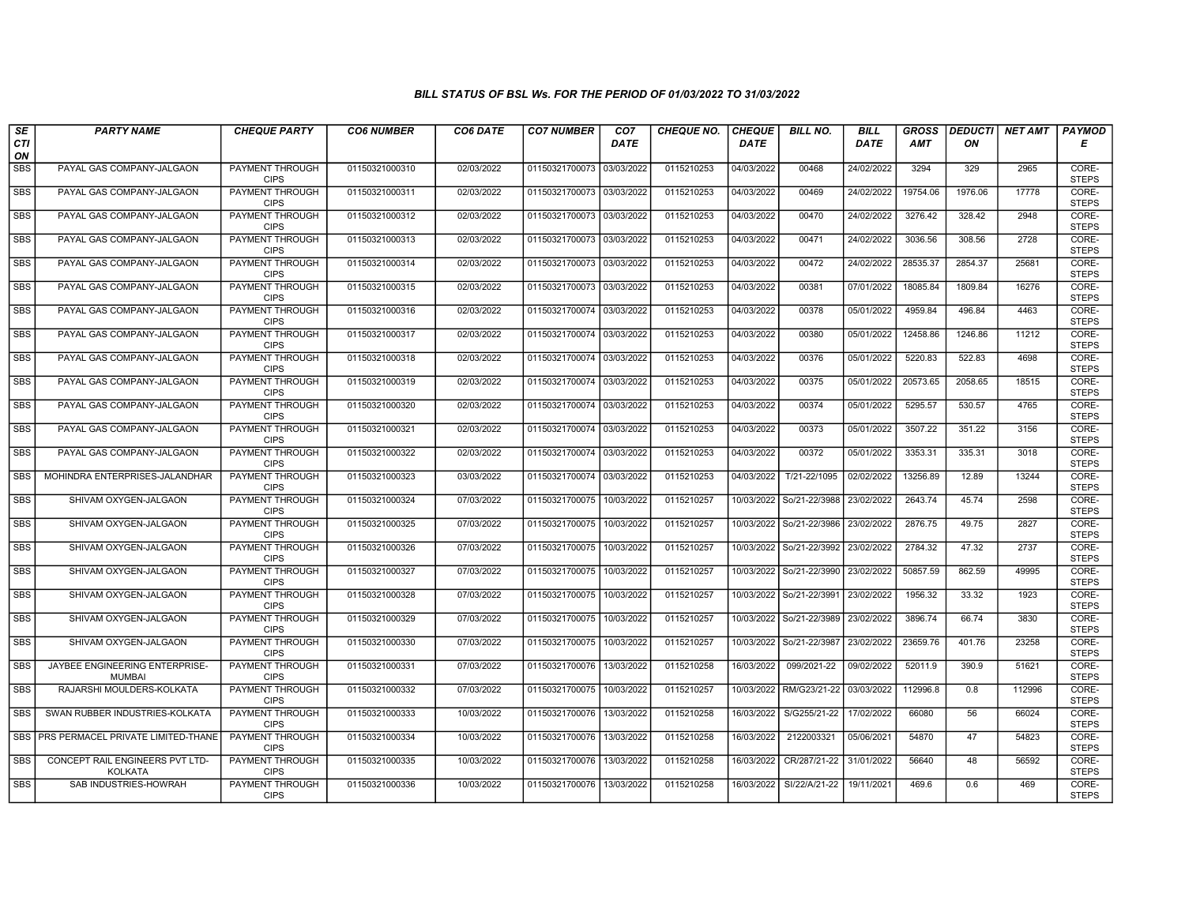| SE               | <b>PARTY NAME</b>                                 | <b>CHEQUE PARTY</b>                   | <b>CO6 NUMBER</b> | CO6 DATE   | <b>CO7 NUMBER</b>         | CO <sub>7</sub> | <b>CHEQUE NO.</b> | <b>CHEQUE</b> | <b>BILL NO.</b>          | <b>BILL</b> | <b>GROSS</b> | <b>DEDUCTI</b> | NET AMT | <b>PAYMOD</b>         |
|------------------|---------------------------------------------------|---------------------------------------|-------------------|------------|---------------------------|-----------------|-------------------|---------------|--------------------------|-------------|--------------|----------------|---------|-----------------------|
| <b>CTI</b><br>ON |                                                   |                                       |                   |            |                           | <b>DATE</b>     |                   | <b>DATE</b>   |                          | <b>DATE</b> | <b>AMT</b>   | ΟN             |         | Е                     |
| <b>SBS</b>       | PAYAL GAS COMPANY-JALGAON                         | PAYMENT THROUGH<br><b>CIPS</b>        | 01150321000310    | 02/03/2022 | 01150321700073            | 03/03/2022      | 0115210253        | 04/03/2022    | 00468                    | 24/02/2022  | 3294         | 329            | 2965    | CORE-<br><b>STEPS</b> |
| <b>SBS</b>       | PAYAL GAS COMPANY-JALGAON                         | <b>PAYMENT THROUGH</b><br><b>CIPS</b> | 01150321000311    | 02/03/2022 | 01150321700073 03/03/2022 |                 | 0115210253        | 04/03/2022    | 00469                    | 24/02/2022  | 19754.06     | 1976.06        | 17778   | CORE-<br><b>STEPS</b> |
| SBS              | PAYAL GAS COMPANY-JALGAON                         | PAYMENT THROUGH<br><b>CIPS</b>        | 01150321000312    | 02/03/2022 | 01150321700073            | 03/03/2022      | 0115210253        | 04/03/2022    | 00470                    | 24/02/2022  | 3276.42      | 328.42         | 2948    | CORE-<br><b>STEPS</b> |
| <b>SBS</b>       | PAYAL GAS COMPANY-JALGAON                         | <b>PAYMENT THROUGH</b><br><b>CIPS</b> | 01150321000313    | 02/03/2022 | 01150321700073            | 03/03/2022      | 0115210253        | 04/03/2022    | 00471                    | 24/02/2022  | 3036.56      | 308.56         | 2728    | CORE-<br><b>STEPS</b> |
| <b>SBS</b>       | PAYAL GAS COMPANY-JALGAON                         | PAYMENT THROUGH<br><b>CIPS</b>        | 01150321000314    | 02/03/2022 | 01150321700073 03/03/2022 |                 | 0115210253        | 04/03/2022    | 00472                    | 24/02/2022  | 28535.37     | 2854.37        | 25681   | CORE-<br><b>STEPS</b> |
| <b>SBS</b>       | PAYAL GAS COMPANY-JALGAON                         | <b>PAYMENT THROUGH</b><br><b>CIPS</b> | 01150321000315    | 02/03/2022 | 01150321700073 03/03/2022 |                 | 0115210253        | 04/03/2022    | 00381                    | 07/01/2022  | 18085.84     | 1809.84        | 16276   | CORE-<br><b>STEPS</b> |
| <b>SBS</b>       | PAYAL GAS COMPANY-JALGAON                         | PAYMENT THROUGH<br><b>CIPS</b>        | 01150321000316    | 02/03/2022 | 01150321700074            | 03/03/2022      | 0115210253        | 04/03/2022    | 00378                    | 05/01/2022  | 4959.84      | 496.84         | 4463    | CORE-<br><b>STEPS</b> |
| SBS              | PAYAL GAS COMPANY-JALGAON                         | PAYMENT THROUGH<br><b>CIPS</b>        | 01150321000317    | 02/03/2022 | 01150321700074            | 03/03/2022      | 0115210253        | 04/03/2022    | 00380                    | 05/01/2022  | 12458.86     | 1246.86        | 11212   | CORE-<br><b>STEPS</b> |
| <b>SBS</b>       | PAYAL GAS COMPANY-JALGAON                         | <b>PAYMENT THROUGH</b><br><b>CIPS</b> | 01150321000318    | 02/03/2022 | 01150321700074 03/03/2022 |                 | 0115210253        | 04/03/2022    | 00376                    | 05/01/2022  | 5220.83      | 522.83         | 4698    | CORE-<br><b>STEPS</b> |
| <b>SBS</b>       | PAYAL GAS COMPANY-JALGAON                         | <b>PAYMENT THROUGH</b><br><b>CIPS</b> | 01150321000319    | 02/03/2022 | 01150321700074 03/03/2022 |                 | 0115210253        | 04/03/2022    | 00375                    | 05/01/2022  | 20573.65     | 2058.65        | 18515   | CORE-<br><b>STEPS</b> |
| <b>SBS</b>       | PAYAL GAS COMPANY-JALGAON                         | PAYMENT THROUGH<br><b>CIPS</b>        | 01150321000320    | 02/03/2022 | 01150321700074 03/03/2022 |                 | 0115210253        | 04/03/2022    | 00374                    | 05/01/2022  | 5295.57      | 530.57         | 4765    | CORE-<br><b>STEPS</b> |
| <b>SBS</b>       | PAYAL GAS COMPANY-JALGAON                         | PAYMENT THROUGH<br><b>CIPS</b>        | 01150321000321    | 02/03/2022 | 01150321700074 03/03/2022 |                 | 0115210253        | 04/03/2022    | 00373                    | 05/01/2022  | 3507.22      | 351.22         | 3156    | CORE-<br><b>STEPS</b> |
| <b>SBS</b>       | PAYAL GAS COMPANY-JALGAON                         | <b>PAYMENT THROUGH</b><br><b>CIPS</b> | 01150321000322    | 02/03/2022 | 01150321700074            | 03/03/2022      | 0115210253        | 04/03/2022    | 00372                    | 05/01/2022  | 3353.31      | 335.31         | 3018    | CORE-<br><b>STEPS</b> |
| <b>SBS</b>       | MOHINDRA ENTERPRISES-JALANDHAR                    | PAYMENT THROUGH<br><b>CIPS</b>        | 01150321000323    | 03/03/2022 | 01150321700074 03/03/2022 |                 | 0115210253        | 04/03/2022    | T/21-22/1095             | 02/02/2022  | 13256.89     | 12.89          | 13244   | CORE-<br><b>STEPS</b> |
| SBS              | SHIVAM OXYGEN-JALGAON                             | PAYMENT THROUGH<br><b>CIPS</b>        | 01150321000324    | 07/03/2022 | 01150321700075            | 10/03/2022      | 0115210257        | 10/03/2022    | So/21-22/3988            | 23/02/2022  | 2643.74      | 45.74          | 2598    | CORE-<br><b>STEPS</b> |
| <b>SBS</b>       | SHIVAM OXYGEN-JALGAON                             | PAYMENT THROUGH<br><b>CIPS</b>        | 01150321000325    | 07/03/2022 | 01150321700075            | 10/03/2022      | 0115210257        |               | 10/03/2022 So/21-22/3986 | 23/02/2022  | 2876.75      | 49.75          | 2827    | CORE-<br><b>STEPS</b> |
| <b>SBS</b>       | SHIVAM OXYGEN-JALGAON                             | <b>PAYMENT THROUGH</b><br><b>CIPS</b> | 01150321000326    | 07/03/2022 | 01150321700075            | 10/03/2022      | 0115210257        | 10/03/2022    | So/21-22/3992            | 23/02/2022  | 2784.32      | 47.32          | 2737    | CORE-<br><b>STEPS</b> |
| <b>SBS</b>       | SHIVAM OXYGEN-JALGAON                             | <b>PAYMENT THROUGH</b><br><b>CIPS</b> | 01150321000327    | 07/03/2022 | 01150321700075            | 10/03/2022      | 0115210257        | 10/03/2022    | So/21-22/3990            | 23/02/2022  | 50857.59     | 862.59         | 49995   | CORE-<br><b>STEPS</b> |
| SBS              | SHIVAM OXYGEN-JALGAON                             | PAYMENT THROUGH<br><b>CIPS</b>        | 01150321000328    | 07/03/2022 | 01150321700075            | 10/03/2022      | 0115210257        |               | 10/03/2022 So/21-22/3991 | 23/02/2022  | 1956.32      | 33.32          | 1923    | CORE-<br><b>STEPS</b> |
| SBS              | SHIVAM OXYGEN-JALGAON                             | PAYMENT THROUGH<br><b>CIPS</b>        | 01150321000329    | 07/03/2022 | 01150321700075            | 10/03/2022      | 0115210257        | 10/03/2022    | So/21-22/3989            | 23/02/2022  | 3896.74      | 66.74          | 3830    | CORE-<br><b>STEPS</b> |
| <b>SBS</b>       | SHIVAM OXYGEN-JALGAON                             | <b>PAYMENT THROUGH</b><br><b>CIPS</b> | 01150321000330    | 07/03/2022 | 01150321700075            | 10/03/2022      | 0115210257        | 10/03/2022    | So/21-22/3987            | 23/02/2022  | 23659.76     | 401.76         | 23258   | CORE-<br><b>STEPS</b> |
| SBS              | JAYBEE ENGINEERING ENTERPRISE-<br><b>MUMBAI</b>   | <b>PAYMENT THROUGH</b><br><b>CIPS</b> | 01150321000331    | 07/03/2022 | 01150321700076            | 13/03/2022      | 0115210258        | 16/03/2022    | 099/2021-22              | 09/02/2022  | 52011.9      | 390.9          | 51621   | CORE-<br><b>STEPS</b> |
| <b>SBS</b>       | RAJARSHI MOULDERS-KOLKATA                         | PAYMENT THROUGH<br><b>CIPS</b>        | 01150321000332    | 07/03/2022 | 01150321700075            | 10/03/2022      | 0115210257        | 10/03/2022    | RM/G23/21-22             | 03/03/2022  | 112996.8     | 0.8            | 112996  | CORE-<br><b>STEPS</b> |
| <b>SBS</b>       | SWAN RUBBER INDUSTRIES-KOLKATA                    | PAYMENT THROUGH<br><b>CIPS</b>        | 01150321000333    | 10/03/2022 | 01150321700076            | 13/03/2022      | 0115210258        | 16/03/2022    | S/G255/21-22             | 17/02/2022  | 66080        | 56             | 66024   | CORE-<br><b>STEPS</b> |
|                  | SBS   PRS PERMACEL PRIVATE LIMITED-THANE          | PAYMENT THROUGH<br><b>CIPS</b>        | 01150321000334    | 10/03/2022 | 01150321700076            | 13/03/2022      | 0115210258        | 16/03/2022    | 2122003321               | 05/06/2021  | 54870        | 47             | 54823   | CORE-<br><b>STEPS</b> |
| <b>SBS</b>       | CONCEPT RAIL ENGINEERS PVT LTD-<br><b>KOLKATA</b> | <b>PAYMENT THROUGH</b><br><b>CIPS</b> | 01150321000335    | 10/03/2022 | 01150321700076            | 13/03/2022      | 0115210258        | 16/03/2022    | CR/287/21-22             | 31/01/2022  | 56640        | 48             | 56592   | CORE-<br><b>STEPS</b> |
| SBS              | SAB INDUSTRIES-HOWRAH                             | PAYMENT THROUGH<br><b>CIPS</b>        | 01150321000336    | 10/03/2022 | 01150321700076            | 13/03/2022      | 0115210258        | 16/03/2022    | SI/22/A/21-22            | 19/11/2021  | 469.6        | 0.6            | 469     | CORE-<br><b>STEPS</b> |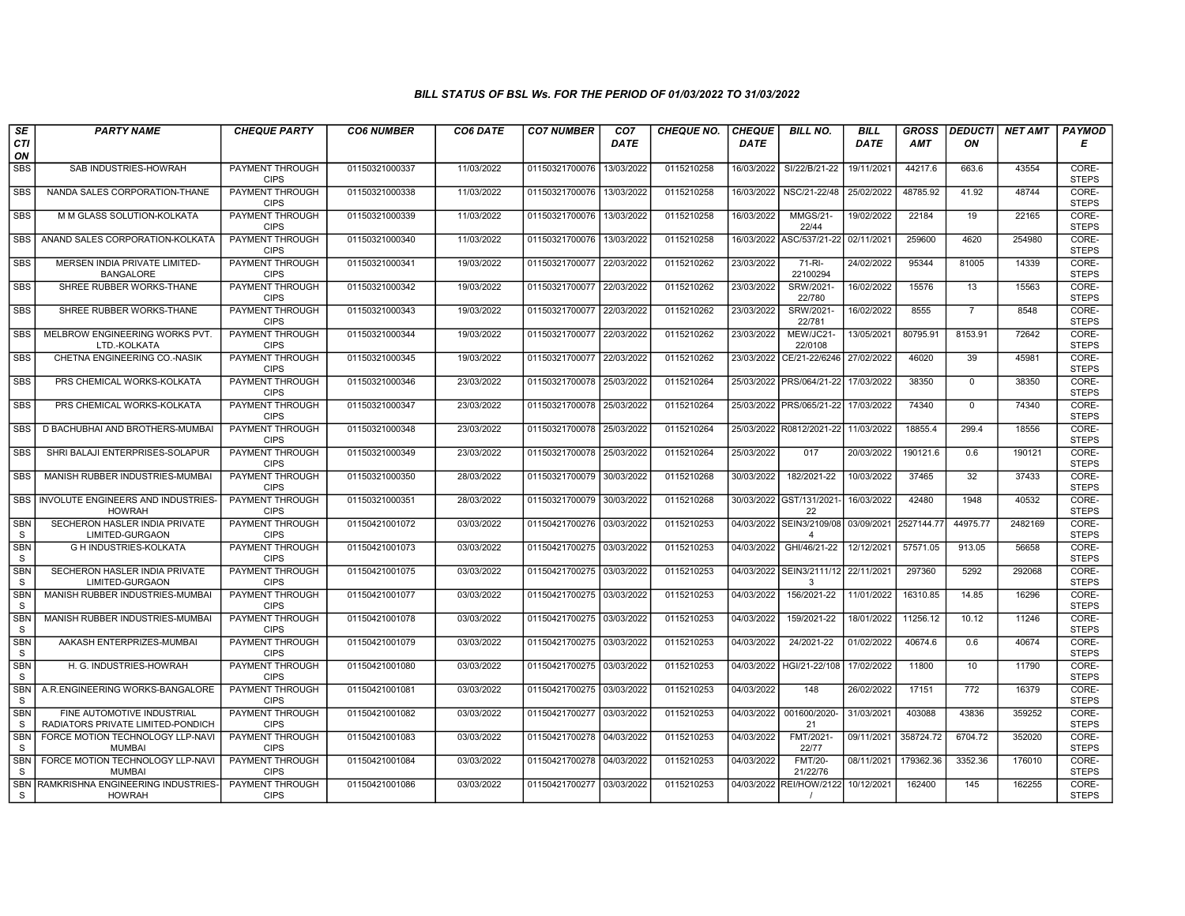| SE                         | <b>PARTY NAME</b>                                               | <b>CHEQUE PARTY</b>                   | <b>CO6 NUMBER</b> | CO6 DATE   | <b>CO7 NUMBER</b>         | CO <sub>7</sub> | <b>CHEQUE NO.</b> | <b>CHEQUE</b> | <b>BILL NO.</b>                 | <b>BILL</b>           | <b>GROSS</b> | <b>DEDUCTI</b> | NET AMT | <b>PAYMOD</b>         |
|----------------------------|-----------------------------------------------------------------|---------------------------------------|-------------------|------------|---------------------------|-----------------|-------------------|---------------|---------------------------------|-----------------------|--------------|----------------|---------|-----------------------|
| CTI<br>ON                  |                                                                 |                                       |                   |            |                           | <b>DATE</b>     |                   | <b>DATE</b>   |                                 | <b>DATE</b>           | <b>AMT</b>   | ON             |         | Е                     |
| <b>SBS</b>                 | SAB INDUSTRIES-HOWRAH                                           | <b>PAYMENT THROUGH</b><br><b>CIPS</b> | 01150321000337    | 11/03/2022 | 01150321700076            | 13/03/2022      | 0115210258        | 16/03/2022    | SI/22/B/21-22                   | 19/11/2021            | 44217.6      | 663.6          | 43554   | CORE-<br><b>STEPS</b> |
| <b>SBS</b>                 | NANDA SALES CORPORATION-THANE                                   | <b>PAYMENT THROUGH</b><br><b>CIPS</b> | 01150321000338    | 11/03/2022 | 01150321700076            | 13/03/2022      | 0115210258        | 16/03/2022    | NSC/21-22/48                    | 25/02/2022            | 48785.92     | 41.92          | 48744   | CORE-<br><b>STEPS</b> |
| <b>SBS</b>                 | M M GLASS SOLUTION-KOLKATA                                      | PAYMENT THROUGH<br><b>CIPS</b>        | 01150321000339    | 11/03/2022 | 01150321700076            | 13/03/2022      | 0115210258        | 16/03/2022    | <b>MMGS/21-</b><br>22/44        | 19/02/2022            | 22184        | 19             | 22165   | CORE-<br><b>STEPS</b> |
| <b>SBS</b>                 | ANAND SALES CORPORATION-KOLKATA                                 | PAYMENT THROUGH<br><b>CIPS</b>        | 01150321000340    | 11/03/2022 | 01150321700076            | 13/03/2022      | 0115210258        | 16/03/2022    | ASC/537/21-22                   | 02/11/2021            | 259600       | 4620           | 254980  | CORE-<br><b>STEPS</b> |
| <b>SBS</b>                 | MERSEN INDIA PRIVATE LIMITED-<br><b>BANGALORE</b>               | <b>PAYMENT THROUGH</b><br><b>CIPS</b> | 01150321000341    | 19/03/2022 | 01150321700077            | 22/03/2022      | 0115210262        | 23/03/2022    | 71-RI-<br>22100294              | 24/02/2022            | 95344        | 81005          | 14339   | CORE-<br><b>STEPS</b> |
| <b>SBS</b>                 | SHREE RUBBER WORKS-THANE                                        | <b>PAYMENT THROUGH</b><br><b>CIPS</b> | 01150321000342    | 19/03/2022 | 01150321700077 22/03/2022 |                 | 0115210262        | 23/03/2022    | SRW/2021-<br>22/780             | 16/02/2022            | 15576        | 13             | 15563   | CORE-<br><b>STEPS</b> |
| <b>SBS</b>                 | SHREE RUBBER WORKS-THANE                                        | PAYMENT THROUGH<br><b>CIPS</b>        | 01150321000343    | 19/03/2022 | 01150321700077            | 22/03/2022      | 0115210262        | 23/03/2022    | SRW/2021-<br>22/781             | 16/02/2022            | 8555         | $\overline{7}$ | 8548    | CORE-<br><b>STEPS</b> |
| <b>SBS</b>                 | MELBROW ENGINEERING WORKS PVT.<br>LTD.-KOLKATA                  | PAYMENT THROUGH<br><b>CIPS</b>        | 01150321000344    | 19/03/2022 | 01150321700077            | 22/03/2022      | 0115210262        | 23/03/2022    | MEW/JC21-<br>22/0108            | 13/05/2021            | 80795.91     | 8153.91        | 72642   | CORE-<br><b>STEPS</b> |
| <b>SBS</b>                 | CHETNA ENGINEERING CO.-NASIK                                    | PAYMENT THROUGH<br><b>CIPS</b>        | 01150321000345    | 19/03/2022 | 01150321700077 22/03/2022 |                 | 0115210262        | 23/03/2022    | CE/21-22/6246                   | 27/02/2022            | 46020        | 39             | 45981   | CORE-<br><b>STEPS</b> |
| <b>SBS</b>                 | PRS CHEMICAL WORKS-KOLKATA                                      | <b>PAYMENT THROUGH</b><br><b>CIPS</b> | 01150321000346    | 23/03/2022 | 01150321700078            | 25/03/2022      | 0115210264        |               | 25/03/2022 PRS/064/21-22        | 17/03/2022            | 38350        | $\mathbf 0$    | 38350   | CORE-<br><b>STEPS</b> |
| <b>SBS</b>                 | PRS CHEMICAL WORKS-KOLKATA                                      | PAYMENT THROUGH<br><b>CIPS</b>        | 01150321000347    | 23/03/2022 | 01150321700078            | 25/03/2022      | 0115210264        |               | 25/03/2022   PRS/065/21-22      | 17/03/2022            | 74340        | $\mathbf 0$    | 74340   | CORE-<br><b>STEPS</b> |
| <b>SBS</b>                 | D BACHUBHAI AND BROTHERS-MUMBAI                                 | PAYMENT THROUGH<br><b>CIPS</b>        | 01150321000348    | 23/03/2022 | 01150321700078 25/03/2022 |                 | 0115210264        |               | 25/03/2022 R0812/2021-22        | 11/03/2022            | 18855.4      | 299.4          | 18556   | CORE-<br><b>STEPS</b> |
| <b>SBS</b>                 | SHRI BALAJI ENTERPRISES-SOLAPUR                                 | <b>PAYMENT THROUGH</b><br><b>CIPS</b> | 01150321000349    | 23/03/2022 | 01150321700078 25/03/2022 |                 | 0115210264        | 25/03/2022    | 017                             | 20/03/2022            | 190121.6     | 0.6            | 190121  | CORE-<br><b>STEPS</b> |
| <b>SBS</b>                 | MANISH RUBBER INDUSTRIES-MUMBA                                  | <b>PAYMENT THROUGH</b><br><b>CIPS</b> | 01150321000350    | 28/03/2022 | 01150321700079            | 30/03/2022      | 0115210268        | 30/03/2022    | 182/2021-22                     | 10/03/2022            | 37465        | 32             | 37433   | CORE-<br><b>STEPS</b> |
| SBS                        | INVOLUTE ENGINEERS AND INDUSTRIES-<br><b>HOWRAH</b>             | PAYMENT THROUGH<br><b>CIPS</b>        | 01150321000351    | 28/03/2022 | 01150321700079 30/03/2022 |                 | 0115210268        | 30/03/2022    | GST/131/2021<br>22              | 16/03/2022            | 42480        | 1948           | 40532   | CORE-<br><b>STEPS</b> |
| <b>SBN</b><br>S            | SECHERON HASLER INDIA PRIVATE<br>LIMITED-GURGAON                | <b>PAYMENT THROUGH</b><br><b>CIPS</b> | 01150421001072    | 03/03/2022 | 01150421700276 03/03/2022 |                 | 0115210253        | 04/03/2022    | SEIN3/2109/08<br>$\overline{4}$ | 03/09/2021 2527144.77 |              | 44975.77       | 2482169 | CORE-<br><b>STEPS</b> |
| <b>SBN</b><br>S            | <b>G H INDUSTRIES-KOLKATA</b>                                   | <b>PAYMENT THROUGH</b><br><b>CIPS</b> | 01150421001073    | 03/03/2022 | 01150421700275 03/03/2022 |                 | 0115210253        | 04/03/2022    | GHI/46/21-22                    | 12/12/2021            | 57571.05     | 913.05         | 56658   | CORE-<br><b>STEPS</b> |
| <b>SBN</b><br>S.           | SECHERON HASLER INDIA PRIVATE<br>LIMITED-GURGAON                | <b>PAYMENT THROUGH</b><br><b>CIPS</b> | 01150421001075    | 03/03/2022 | 01150421700275 03/03/2022 |                 | 0115210253        | 04/03/2022    | SEIN3/2111/12<br>3              | 22/11/2021            | 297360       | 5292           | 292068  | CORE-<br><b>STEPS</b> |
| SBN<br><sub>S</sub>        | MANISH RUBBER INDUSTRIES-MUMBAI                                 | PAYMENT THROUGH<br><b>CIPS</b>        | 01150421001077    | 03/03/2022 | 01150421700275 03/03/2022 |                 | 0115210253        | 04/03/2022    | 156/2021-22                     | 11/01/2022            | 16310.85     | 14.85          | 16296   | CORE-<br><b>STEPS</b> |
| SBN<br><sub>S</sub>        | MANISH RUBBER INDUSTRIES-MUMBAI                                 | PAYMENT THROUGH<br><b>CIPS</b>        | 01150421001078    | 03/03/2022 | 01150421700275 03/03/2022 |                 | 0115210253        | 04/03/2022    | 159/2021-22                     | 18/01/2022            | 11256.12     | 10.12          | 11246   | CORE-<br><b>STEPS</b> |
| <b>SBN</b><br>S            | AAKASH ENTERPRIZES-MUMBAI                                       | PAYMENT THROUGH<br><b>CIPS</b>        | 01150421001079    | 03/03/2022 | 01150421700275 03/03/2022 |                 | 0115210253        | 04/03/2022    | 24/2021-22                      | 01/02/2022            | 40674.6      | 0.6            | 40674   | CORE-<br><b>STEPS</b> |
| <b>SBN</b><br>S            | H. G. INDUSTRIES-HOWRAH                                         | <b>PAYMENT THROUGH</b><br><b>CIPS</b> | 01150421001080    | 03/03/2022 | 01150421700275 03/03/2022 |                 | 0115210253        | 04/03/2022    | HGI/21-22/108                   | 17/02/2022            | 11800        | 10             | 11790   | CORE-<br><b>STEPS</b> |
| SBN<br>S                   | A.R.ENGINEERING WORKS-BANGALORE                                 | PAYMENT THROUGH<br><b>CIPS</b>        | 01150421001081    | 03/03/2022 | 01150421700275 03/03/2022 |                 | 0115210253        | 04/03/2022    | 148                             | 26/02/2022            | 17151        | 772            | 16379   | CORE-<br><b>STEPS</b> |
| <b>SBN</b><br><sub>S</sub> | FINE AUTOMOTIVE INDUSTRIAL<br>RADIATORS PRIVATE LIMITED-PONDICH | PAYMENT THROUGH<br><b>CIPS</b>        | 01150421001082    | 03/03/2022 | 01150421700277 03/03/2022 |                 | 0115210253        | 04/03/2022    | 001600/2020-<br>21              | 31/03/2021            | 403088       | 43836          | 359252  | CORE-<br><b>STEPS</b> |
| <b>SBN</b><br><sub>S</sub> | FORCE MOTION TECHNOLOGY LLP-NAVI<br><b>MUMBAI</b>               | PAYMENT THROUGH<br><b>CIPS</b>        | 01150421001083    | 03/03/2022 | 01150421700278            | 04/03/2022      | 0115210253        | 04/03/2022    | FMT/2021-<br>22/77              | 09/11/2021            | 358724.72    | 6704.72        | 352020  | CORE-<br><b>STEPS</b> |
| <b>SBN</b><br><sub>S</sub> | FORCE MOTION TECHNOLOGY LLP-NAVI<br><b>MUMBA</b>                | <b>PAYMENT THROUGH</b><br><b>CIPS</b> | 01150421001084    | 03/03/2022 | 01150421700278 04/03/2022 |                 | 0115210253        | 04/03/2022    | <b>FMT/20-</b><br>21/22/76      | 08/11/2021            | 179362.36    | 3352.36        | 176010  | CORE-<br><b>STEPS</b> |
| <b>SBN</b><br>S.           | RAMKRISHNA ENGINEERING INDUSTRIES-<br><b>HOWRAH</b>             | PAYMENT THROUGH<br><b>CIPS</b>        | 01150421001086    | 03/03/2022 | 01150421700277 03/03/2022 |                 | 0115210253        | 04/03/2022    | <b>REI/HOW/2122</b>             | 10/12/2021            | 162400       | 145            | 162255  | CORE-<br><b>STEPS</b> |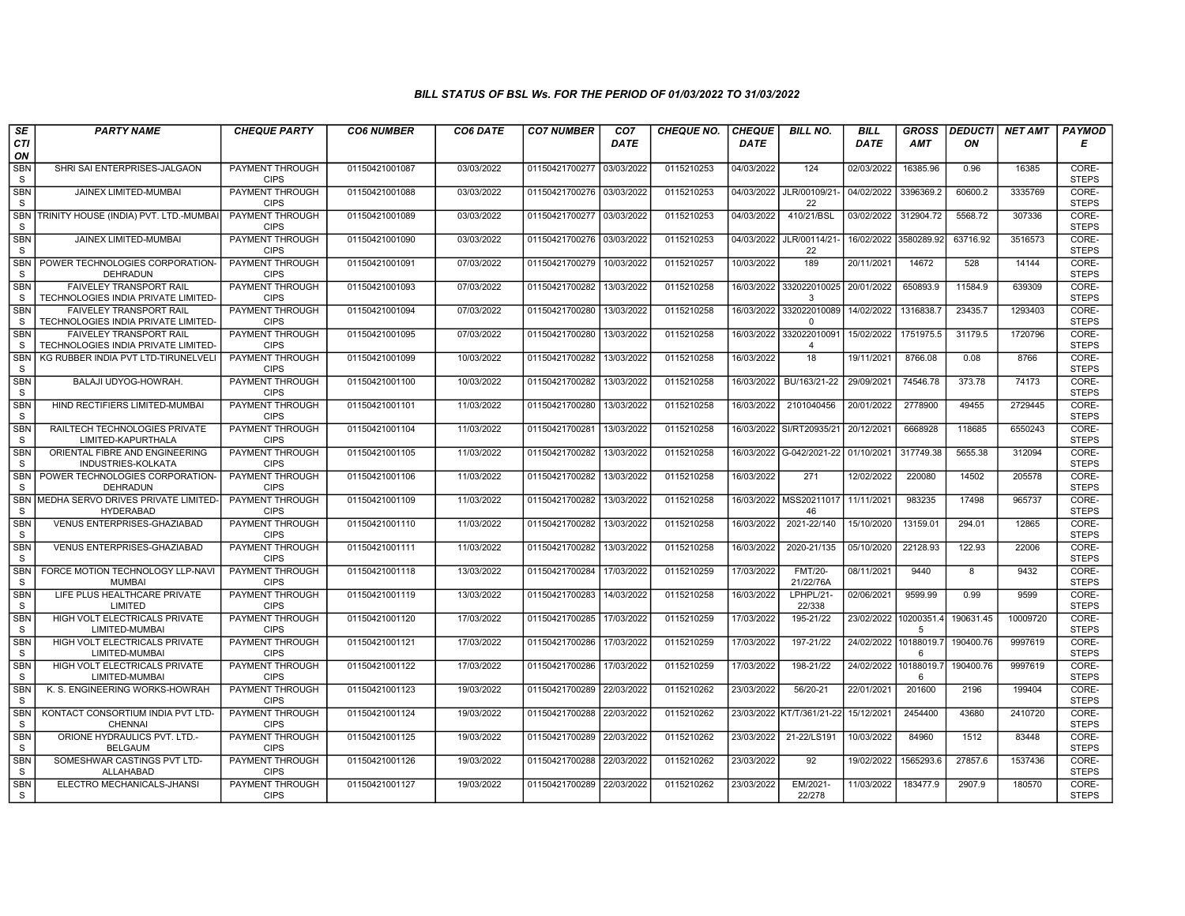| SE                            | <b>PARTY NAME</b>                                                                | <b>CHEQUE PARTY</b>                                      | <b>CO6 NUMBER</b>                | CO6 DATE                 | <b>CO7 NUMBER</b>                | CO <sub>7</sub>          | <b>CHEQUE NO.</b>        | <b>CHEQUE</b>            | <b>BILL NO.</b>                          | <b>BILL</b>              | <b>GROSS</b>        | <b>DEDUCTI</b> | <b>NET AMT</b>    | <b>PAYMOD</b>                  |
|-------------------------------|----------------------------------------------------------------------------------|----------------------------------------------------------|----------------------------------|--------------------------|----------------------------------|--------------------------|--------------------------|--------------------------|------------------------------------------|--------------------------|---------------------|----------------|-------------------|--------------------------------|
| CTI<br>ON                     |                                                                                  |                                                          |                                  |                          |                                  | <b>DATE</b>              |                          | <b>DATE</b>              |                                          | <b>DATE</b>              | <b>AMT</b>          | ON             |                   | Е                              |
| <b>SBN</b><br>S               | SHRI SAI ENTERPRISES-JALGAON                                                     | PAYMENT THROUGH<br><b>CIPS</b>                           | 01150421001087                   | 03/03/2022               | 01150421700277                   | 03/03/2022               | 0115210253               | 04/03/2022               | 124                                      | 02/03/2022               | 16385.96            | 0.96           | 16385             | CORE-<br><b>STEPS</b>          |
| <b>SBN</b><br>S               | <b>JAINEX LIMITED-MUMBAI</b>                                                     | <b>PAYMENT THROUGH</b><br><b>CIPS</b>                    | 01150421001088                   | 03/03/2022               | 01150421700276 03/03/2022        |                          | 0115210253               |                          | 04/03/2022 JLR/00109/21-<br>22           | 04/02/2022               | 3396369.2           | 60600.2        | 3335769           | CORE-<br><b>STEPS</b>          |
| <b>SBN</b><br>S               | TRINITY HOUSE (INDIA) PVT. LTD.-MUMBA                                            | PAYMENT THROUGH<br><b>CIPS</b>                           | 01150421001089                   | 03/03/2022               | 01150421700277 03/03/2022        |                          | 0115210253               | 04/03/2022               | 410/21/BSL                               | 03/02/2022               | 312904.72           | 5568.72        | 307336            | CORE-<br><b>STEPS</b>          |
| <b>SBN</b><br>S               | JAINEX LIMITED-MUMBAI                                                            | <b>PAYMENT THROUGH</b><br><b>CIPS</b>                    | 01150421001090                   | 03/03/2022               | 01150421700276 03/03/2022        |                          | 0115210253               |                          | 04/03/2022 JLR/00114/21-<br>22           | 16/02/2022 3580289.92    |                     | 63716.92       | 3516573           | CORE-<br><b>STEPS</b>          |
| SBN<br><sub>S</sub>           | POWER TECHNOLOGIES CORPORATION-<br><b>DEHRADUN</b>                               | PAYMENT THROUGH<br><b>CIPS</b>                           | 01150421001091                   | 07/03/2022               | 01150421700279                   | 10/03/2022               | 0115210257               | 10/03/2022               | 189                                      | 20/11/2021               | 14672               | 528            | 14144             | CORE-<br><b>STEPS</b>          |
| <b>SBN</b><br>S               | FAIVELEY TRANSPORT RAIL<br>TECHNOLOGIES INDIA PRIVATE LIMITED-                   | <b>PAYMENT THROUGH</b><br><b>CIPS</b>                    | 01150421001093                   | 07/03/2022               | 01150421700282 13/03/2022        |                          | 0115210258               |                          | 16/03/2022 332022010025 20/01/2022<br>3  |                          | 650893.9            | 11584.9        | 639309            | CORE-<br><b>STEPS</b>          |
| <b>SBN</b><br>S               | <b>FAIVELEY TRANSPORT RAIL</b><br>TECHNOLOGIES INDIA PRIVATE LIMITED-            | PAYMENT THROUGH<br><b>CIPS</b>                           | 01150421001094                   | 07/03/2022               | 01150421700280                   | 13/03/2022               | 0115210258               | 16/03/2022               | 332022010089<br>$\Omega$                 | 14/02/2022               | 1316838.            | 23435.7        | 1293403           | CORE-<br><b>STEPS</b>          |
| <b>SBN</b><br>S               | FAIVELEY TRANSPORT RAIL<br>TECHNOLOGIES INDIA PRIVATE LIMITED-                   | PAYMENT THROUGH<br><b>CIPS</b>                           | 01150421001095                   | 07/03/2022               | 01150421700280                   | 13/03/2022               | 0115210258               | 16/03/2022               | 332022010091<br>$\overline{4}$           | 15/02/2022               | 1751975.5           | 31179.5        | 1720796           | CORE-<br><b>STEPS</b>          |
| <b>SBN</b><br>S               | KG RUBBER INDIA PVT LTD-TIRUNELVELI                                              | PAYMENT THROUGH<br><b>CIPS</b>                           | 01150421001099                   | 10/03/2022               | 01150421700282 13/03/2022        |                          | 0115210258               | 16/03/2022               | 18                                       | 19/11/2021               | 8766.08             | 0.08           | 8766              | CORE-<br><b>STEPS</b>          |
| <b>SBN</b><br>S               | BALAJI UDYOG-HOWRAH.                                                             | <b>PAYMENT THROUGH</b><br><b>CIPS</b>                    | 01150421001100                   | 10/03/2022               | 01150421700282                   | 13/03/2022               | 0115210258               |                          | 16/03/2022 BU/163/21-22                  | 29/09/2021               | 74546.78            | 373.78         | 74173             | CORE-<br><b>STEPS</b>          |
| <b>SBN</b><br>S               | HIND RECTIFIERS LIMITED-MUMBAI                                                   | PAYMENT THROUGH<br><b>CIPS</b>                           | 01150421001101                   | 11/03/2022               | 01150421700280                   | 13/03/2022               | 0115210258               | 16/03/2022               | 2101040456                               | 20/01/2022               | 2778900             | 49455          | 2729445           | CORE-<br><b>STEPS</b>          |
| <b>SBN</b><br>S               | RAILTECH TECHNOLOGIES PRIVATE<br>LIMITED-KAPURTHALA                              | PAYMENT THROUGH<br><b>CIPS</b>                           | 01150421001104                   | 11/03/2022               | 01150421700281                   | 13/03/2022               | 0115210258               |                          | 16/03/2022 SI/RT20935/21                 | 20/12/2021               | 6668928             | 118685         | 6550243           | CORE-<br><b>STEPS</b>          |
| <b>SBN</b><br>S               | ORIENTAL FIBRE AND ENGINEERING<br>INDUSTRIES-KOLKATA                             | PAYMENT THROUGH<br><b>CIPS</b><br>PAYMENT THROUGH        | 01150421001105                   | 11/03/2022               | 01150421700282 13/03/2022        |                          | 0115210258               |                          | 16/03/2022 G-042/2021-22 01/10/2021      |                          | 317749.38           | 5655.38        | 312094            | CORE-<br><b>STEPS</b><br>CORE- |
| <b>SBN</b><br>S               | POWER TECHNOLOGIES CORPORATION-<br>DEHRADUN                                      | <b>CIPS</b>                                              | 01150421001106                   | 11/03/2022               | 01150421700282 13/03/2022        |                          | 0115210258               | 16/03/2022               | 271                                      | 12/02/2022               | 220080              | 14502          | 205578            | <b>STEPS</b>                   |
| <b>SBN</b><br><sub>S</sub>    | IMEDHA SERVO DRIVES PRIVATE LIMITED-<br><b>HYDERABAD</b>                         | PAYMENT THROUGH<br><b>CIPS</b>                           | 01150421001109                   | 11/03/2022               | 01150421700282                   | 13/03/2022               | 0115210258               |                          | 16/03/2022   MSS20211017<br>46           | 11/11/2021               | 983235              | 17498          | 965737            | CORE-<br><b>STEPS</b>          |
| <b>SBN</b><br>S               | VENUS ENTERPRISES-GHAZIABAD                                                      | PAYMENT THROUGH<br><b>CIPS</b>                           | 01150421001110                   | 11/03/2022               | 01150421700282 13/03/2022        |                          | 0115210258               | 16/03/2022               | 2021-22/140                              | 15/10/2020               | 13159.01            | 294.01         | 12865             | CORE-<br><b>STEPS</b>          |
| <b>SBN</b><br><sub>S</sub>    | <b>VENUS ENTERPRISES-GHAZIABAD</b>                                               | PAYMENT THROUGH<br><b>CIPS</b>                           | 01150421001111                   | 11/03/2022               | 01150421700282                   | 13/03/2022               | 0115210258               | 16/03/2022               | 2020-21/135                              | 05/10/2020               | 22128.93            | 122.93         | 22006             | CORE-<br><b>STEPS</b>          |
| <b>SBN</b><br>S               | FORCE MOTION TECHNOLOGY LLP-NAVI<br><b>MUMBA</b><br>LIFE PLUS HEALTHCARE PRIVATE | <b>PAYMENT THROUGH</b><br><b>CIPS</b><br>PAYMENT THROUGH | 01150421001118                   | 13/03/2022               | 01150421700284                   | 17/03/2022               | 0115210259               | 17/03/2022               | <b>FMT/20-</b><br>21/22/76A<br>LPHPL/21- | 08/11/2021               | 9440                | 8<br>0.99      | 9432<br>9599      | CORE-<br><b>STEPS</b><br>CORE- |
| <b>SBN</b><br>S<br><b>SBN</b> | LIMITED<br>HIGH VOLT ELECTRICALS PRIVATE                                         | <b>CIPS</b><br>PAYMENT THROUGH                           | 01150421001119<br>01150421001120 | 13/03/2022<br>17/03/2022 | 01150421700283<br>01150421700285 | 14/03/2022<br>17/03/2022 | 0115210258<br>0115210259 | 16/03/2022<br>17/03/2022 | 22/338<br>195-21/22                      | 02/06/2021<br>23/02/2022 | 9599.99<br>10200351 | 190631.45      | 10009720          | <b>STEPS</b><br>CORE-          |
| S<br><b>SBN</b>               | LIMITED-MUMBAI<br>HIGH VOLT ELECTRICALS PRIVATE                                  | <b>CIPS</b><br><b>PAYMENT THROUGH</b>                    | 01150421001121                   | 17/03/2022               | 01150421700286                   | 17/03/2022               | 0115210259               | 17/03/2022               | 197-21/22                                | 24/02/2022 10188019.7    | 5                   | 190400.76      | 9997619           | <b>STEPS</b><br>CORE-          |
| S<br><b>SBN</b>               | LIMITED-MUMBAI<br>HIGH VOLT ELECTRICALS PRIVATE                                  | <b>CIPS</b><br>PAYMENT THROUGH                           | 01150421001122                   | 17/03/2022               | 01150421700286 17/03/2022        |                          | 0115210259               | 17/03/2022               | 198-21/22                                | 24/02/2022               | 6<br>10188019.      | 190400.76      | 9997619           | <b>STEPS</b><br>CORE-          |
| S                             | LIMITED-MUMBAI                                                                   | <b>CIPS</b>                                              |                                  |                          |                                  |                          |                          |                          |                                          |                          | 6                   |                |                   | <b>STEPS</b>                   |
| <b>SBN</b><br>S<br><b>SBN</b> | K. S. ENGINEERING WORKS-HOWRAH<br>KONTACT CONSORTIUM INDIA PVT LTD-              | PAYMENT THROUGH<br><b>CIPS</b><br>PAYMENT THROUGH        | 01150421001123<br>01150421001124 | 19/03/2022<br>19/03/2022 | 01150421700289<br>01150421700288 | 22/03/2022               | 0115210262<br>0115210262 | 23/03/2022               | 56/20-21<br>23/03/2022 KT/T/361/21-22    | 22/01/2021<br>15/12/2021 | 201600<br>2454400   | 2196<br>43680  | 199404<br>2410720 | CORE-<br><b>STEPS</b><br>CORE- |
| S<br><b>SBN</b>               | <b>CHENNAI</b><br>ORIONE HYDRAULICS PVT. LTD.-                                   | <b>CIPS</b><br>PAYMENT THROUGH                           | 01150421001125                   | 19/03/2022               | 01150421700289 22/03/2022        | 22/03/2022               | 0115210262               | 23/03/2022               | 21-22/LS191                              | 10/03/2022               | 84960               | 1512           | 83448             | <b>STEPS</b><br>CORE-          |
| S<br><b>SBN</b>               | <b>BELGAUM</b><br>SOMESHWAR CASTINGS PVT LTD-                                    | <b>CIPS</b><br><b>PAYMENT THROUGH</b>                    | 01150421001126                   | 19/03/2022               | 01150421700288 22/03/2022        |                          | 0115210262               | 23/03/2022               | 92                                       | 19/02/2022               | 1565293.6           | 27857.6        | 1537436           | <b>STEPS</b><br>CORE-          |
| S<br><b>SBN</b>               | ALLAHABAD<br>ELECTRO MECHANICALS-JHANSI                                          | <b>CIPS</b><br>PAYMENT THROUGH                           | 01150421001127                   | 19/03/2022               | 01150421700289 22/03/2022        |                          | 0115210262               | 23/03/2022               | EM/2021-                                 | 11/03/2022               | 183477.9            | 2907.9         | 180570            | <b>STEPS</b><br>CORE-          |
| S                             |                                                                                  | <b>CIPS</b>                                              |                                  |                          |                                  |                          |                          |                          | 22/278                                   |                          |                     |                |                   | <b>STEPS</b>                   |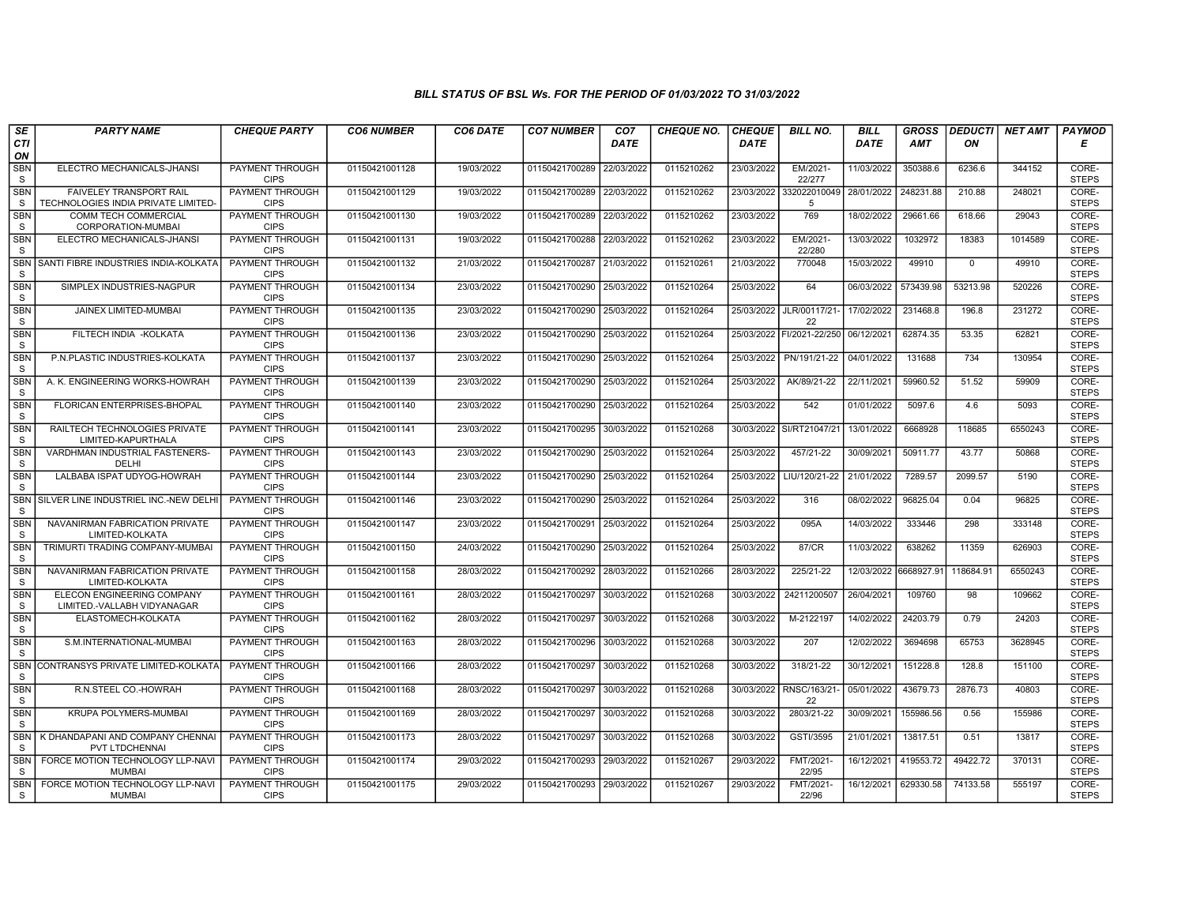| SE                         | <b>PARTY NAME</b>                                                     | <b>CHEQUE PARTY</b>                   | <b>CO6 NUMBER</b> | CO6 DATE   | <b>CO7 NUMBER</b>         | CO <sub>7</sub> | <b>CHEQUE NO.</b> | <b>CHEQUE</b> | <b>BILL NO.</b>                | <b>BILL</b> | <b>GROSS</b> |             | DEDUCTI NET AMT | <b>PAYMOD</b>         |
|----------------------------|-----------------------------------------------------------------------|---------------------------------------|-------------------|------------|---------------------------|-----------------|-------------------|---------------|--------------------------------|-------------|--------------|-------------|-----------------|-----------------------|
| CTI<br>ON                  |                                                                       |                                       |                   |            |                           | <b>DATE</b>     |                   | <b>DATE</b>   |                                | <b>DATE</b> | <b>AMT</b>   | ON          |                 | Е                     |
| <b>SBN</b><br>S            | ELECTRO MECHANICALS-JHANSI                                            | <b>PAYMENT THROUGH</b><br><b>CIPS</b> | 01150421001128    | 19/03/2022 | 01150421700289            | 22/03/2022      | 0115210262        | 23/03/2022    | EM/2021-<br>22/277             | 11/03/2022  | 350388.6     | 6236.6      | 344152          | CORE-<br><b>STEPS</b> |
| <b>SBN</b><br>$\mathbb S$  | <b>FAIVELEY TRANSPORT RAIL</b><br>TECHNOLOGIES INDIA PRIVATE LIMITED- | <b>PAYMENT THROUGH</b><br><b>CIPS</b> | 01150421001129    | 19/03/2022 | 01150421700289            | 22/03/2022      | 0115210262        | 23/03/2022    | 332022010049<br>5              | 28/01/2022  | 248231.88    | 210.88      | 248021          | CORE-<br><b>STEPS</b> |
| SBN<br>S                   | <b>COMM TECH COMMERCIAL</b><br>CORPORATION-MUMBAI                     | PAYMENT THROUGH<br><b>CIPS</b>        | 01150421001130    | 19/03/2022 | 01150421700289            | 22/03/2022      | 0115210262        | 23/03/2022    | 769                            | 18/02/2022  | 29661.66     | 618.66      | 29043           | CORE-<br><b>STEPS</b> |
| <b>SBN</b><br>S            | ELECTRO MECHANICALS-JHANSI                                            | PAYMENT THROUGH<br><b>CIPS</b>        | 01150421001131    | 19/03/2022 | 01150421700288            | 22/03/2022      | 0115210262        | 23/03/2022    | EM/2021-<br>22/280             | 13/03/2022  | 1032972      | 18383       | 1014589         | CORE-<br><b>STEPS</b> |
| <b>SBN</b><br><sub>S</sub> | SANTI FIBRE INDUSTRIES INDIA-KOLKATA                                  | <b>PAYMENT THROUGH</b><br><b>CIPS</b> | 01150421001132    | 21/03/2022 | 01150421700287            | 21/03/2022      | 0115210261        | 21/03/2022    | 770048                         | 15/03/2022  | 49910        | $\mathbf 0$ | 49910           | CORE-<br><b>STEPS</b> |
| <b>SBN</b><br>S            | SIMPLEX INDUSTRIES-NAGPUR                                             | <b>PAYMENT THROUGH</b><br><b>CIPS</b> | 01150421001134    | 23/03/2022 | 01150421700290            | 25/03/2022      | 0115210264        | 25/03/2022    | 64                             | 06/03/2022  | 573439.98    | 53213.98    | 520226          | CORE-<br><b>STEPS</b> |
| <b>SBN</b><br>S            | JAINEX LIMITED-MUMBAI                                                 | PAYMENT THROUGH<br><b>CIPS</b>        | 01150421001135    | 23/03/2022 | 01150421700290            | 25/03/2022      | 0115210264        |               | 25/03/2022 JLR/00117/21-<br>22 | 17/02/2022  | 231468.8     | 196.8       | 231272          | CORE-<br><b>STEPS</b> |
| <b>SBN</b><br>S            | FILTECH INDIA - KOLKATA                                               | PAYMENT THROUGH<br><b>CIPS</b>        | 01150421001136    | 23/03/2022 | 01150421700290            | 25/03/2022      | 0115210264        |               | 25/03/2022 FI/2021-22/250      | 06/12/2021  | 62874.35     | 53.35       | 62821           | CORE-<br><b>STEPS</b> |
| <b>SBN</b><br>S            | P.N.PLASTIC INDUSTRIES-KOLKATA                                        | <b>PAYMENT THROUGH</b><br><b>CIPS</b> | 01150421001137    | 23/03/2022 | 01150421700290            | 25/03/2022      | 0115210264        | 25/03/2022    | PN/191/21-22                   | 04/01/2022  | 131688       | 734         | 130954          | CORE-<br><b>STEPS</b> |
| <b>SBN</b><br>S            | A. K. ENGINEERING WORKS-HOWRAH                                        | <b>PAYMENT THROUGH</b><br><b>CIPS</b> | 01150421001139    | 23/03/2022 | 01150421700290 25/03/2022 |                 | 0115210264        | 25/03/2022    | AK/89/21-22                    | 22/11/2021  | 59960.52     | 51.52       | 59909           | CORE-<br><b>STEPS</b> |
| SBN<br>S                   | FLORICAN ENTERPRISES-BHOPAL                                           | PAYMENT THROUGH<br><b>CIPS</b>        | 01150421001140    | 23/03/2022 | 01150421700290            | 25/03/2022      | 0115210264        | 25/03/2022    | 542                            | 01/01/2022  | 5097.6       | 4.6         | 5093            | CORE-<br><b>STEPS</b> |
| <b>SBN</b><br>S            | RAILTECH TECHNOLOGIES PRIVATE<br>LIMITED-KAPURTHALA                   | PAYMENT THROUGH<br><b>CIPS</b>        | 01150421001141    | 23/03/2022 | 01150421700295            | 30/03/2022      | 0115210268        |               | 30/03/2022 SI/RT21047/21       | 13/01/2022  | 6668928      | 118685      | 6550243         | CORE-<br><b>STEPS</b> |
| <b>SBN</b><br>$\mathsf S$  | VARDHMAN INDUSTRIAL FASTENERS-<br>DELHI                               | <b>PAYMENT THROUGH</b><br><b>CIPS</b> | 01150421001143    | 23/03/2022 | 01150421700290            | 25/03/2022      | 0115210264        | 25/03/2022    | 457/21-22                      | 30/09/2021  | 50911.77     | 43.77       | 50868           | CORE-<br><b>STEPS</b> |
| <b>SBN</b><br>S            | LALBABA ISPAT UDYOG-HOWRAH                                            | <b>PAYMENT THROUGH</b><br><b>CIPS</b> | 01150421001144    | 23/03/2022 | 01150421700290            | 25/03/2022      | 0115210264        | 25/03/2022    | LIU/120/21-22                  | 21/01/2022  | 7289.57      | 2099.57     | 5190            | CORE-<br><b>STEPS</b> |
| <b>SBN</b><br>S            | SILVER LINE INDUSTRIEL INC.-NEW DELHI                                 | PAYMENT THROUGH<br><b>CIPS</b>        | 01150421001146    | 23/03/2022 | 01150421700290            | 25/03/2022      | 0115210264        | 25/03/2022    | 316                            | 08/02/2022  | 96825.04     | 0.04        | 96825           | CORE-<br><b>STEPS</b> |
| <b>SBN</b><br>S            | NAVANIRMAN FABRICATION PRIVATE<br>LIMITED-KOLKATA                     | PAYMENT THROUGH<br><b>CIPS</b>        | 01150421001147    | 23/03/2022 | 01150421700291            | 25/03/2022      | 0115210264        | 25/03/2022    | 095A                           | 14/03/2022  | 333446       | 298         | 333148          | CORE-<br><b>STEPS</b> |
| <b>SBN</b><br>S            | TRIMURTI TRADING COMPANY-MUMBAI                                       | PAYMENT THROUGH<br><b>CIPS</b>        | 01150421001150    | 24/03/2022 | 01150421700290            | 25/03/2022      | 0115210264        | 25/03/2022    | 87/CR                          | 11/03/2022  | 638262       | 11359       | 626903          | CORE-<br><b>STEPS</b> |
| <b>SBN</b><br>S            | NAVANIRMAN FABRICATION PRIVATE<br>LIMITED-KOLKATA                     | <b>PAYMENT THROUGH</b><br><b>CIPS</b> | 01150421001158    | 28/03/2022 | 01150421700292            | 28/03/2022      | 0115210266        | 28/03/2022    | 225/21-22                      | 12/03/2022  | 6668927.9    | 118684.91   | 6550243         | CORE-<br><b>STEPS</b> |
| <b>SBN</b><br>S            | ELECON ENGINEERING COMPANY<br>LIMITED.-VALLABH VIDYANAGAR             | PAYMENT THROUGH<br><b>CIPS</b>        | 01150421001161    | 28/03/2022 | 01150421700297            | 30/03/2022      | 0115210268        | 30/03/2022    | 24211200507                    | 26/04/2021  | 109760       | 98          | 109662          | CORE-<br><b>STEPS</b> |
| <b>SBN</b><br>$\mathbb S$  | ELASTOMECH-KOLKATA                                                    | PAYMENT THROUGH<br><b>CIPS</b>        | 01150421001162    | 28/03/2022 | 01150421700297            | 30/03/2022      | 0115210268        | 30/03/2022    | M-2122197                      | 14/02/2022  | 24203.79     | 0.79        | 24203           | CORE-<br><b>STEPS</b> |
| <b>SBN</b><br>S            | S.M.INTERNATIONAL-MUMBAI                                              | PAYMENT THROUGH<br><b>CIPS</b>        | 01150421001163    | 28/03/2022 | 01150421700296            | 30/03/2022      | 0115210268        | 30/03/2022    | 207                            | 12/02/2022  | 3694698      | 65753       | 3628945         | CORE-<br><b>STEPS</b> |
| <b>SBN</b><br>S            | CONTRANSYS PRIVATE LIMITED-KOLKAT/                                    | PAYMENT THROUGH<br><b>CIPS</b>        | 01150421001166    | 28/03/2022 | 01150421700297            | 30/03/2022      | 0115210268        | 30/03/2022    | 318/21-22                      | 30/12/2021  | 151228.8     | 128.8       | 151100          | CORE-<br><b>STEPS</b> |
| <b>SBN</b><br>S            | R.N.STEEL CO.-HOWRAH                                                  | PAYMENT THROUGH<br><b>CIPS</b>        | 01150421001168    | 28/03/2022 | 01150421700297            | 30/03/2022      | 0115210268        | 30/03/2022    | RNSC/163/21<br>22              | 05/01/2022  | 43679.73     | 2876.73     | 40803           | CORE-<br><b>STEPS</b> |
| <b>SBN</b><br>S            | KRUPA POLYMERS-MUMBAI                                                 | PAYMENT THROUGH<br><b>CIPS</b>        | 01150421001169    | 28/03/2022 | 01150421700297            | 30/03/2022      | 0115210268        | 30/03/2022    | 2803/21-22                     | 30/09/2021  | 155986.56    | 0.56        | 155986          | CORE-<br><b>STEPS</b> |
| <b>SBN</b><br>S            | K DHANDAPANI AND COMPANY CHENNAI<br>PVT LTDCHENNAI                    | PAYMENT THROUGH<br><b>CIPS</b>        | 01150421001173    | 28/03/2022 | 01150421700297            | 30/03/2022      | 0115210268        | 30/03/2022    | GSTI/3595                      | 21/01/2021  | 13817.51     | 0.51        | 13817           | CORE-<br><b>STEPS</b> |
| <b>SBN</b><br>S            | FORCE MOTION TECHNOLOGY LLP-NAVI<br><b>MUMBAI</b>                     | <b>PAYMENT THROUGH</b><br><b>CIPS</b> | 01150421001174    | 29/03/2022 | 01150421700293            | 29/03/2022      | 0115210267        | 29/03/2022    | FMT/2021-<br>22/95             | 16/12/2021  | 419553.72    | 49422.72    | 370131          | CORE-<br><b>STEPS</b> |
| <b>SBN</b><br>S            | FORCE MOTION TECHNOLOGY LLP-NAVI<br><b>MUMBAI</b>                     | PAYMENT THROUGH<br><b>CIPS</b>        | 01150421001175    | 29/03/2022 | 01150421700293            | 29/03/2022      | 0115210267        | 29/03/2022    | FMT/2021-<br>22/96             | 16/12/2021  | 629330.58    | 74133.58    | 555197          | CORE-<br><b>STEPS</b> |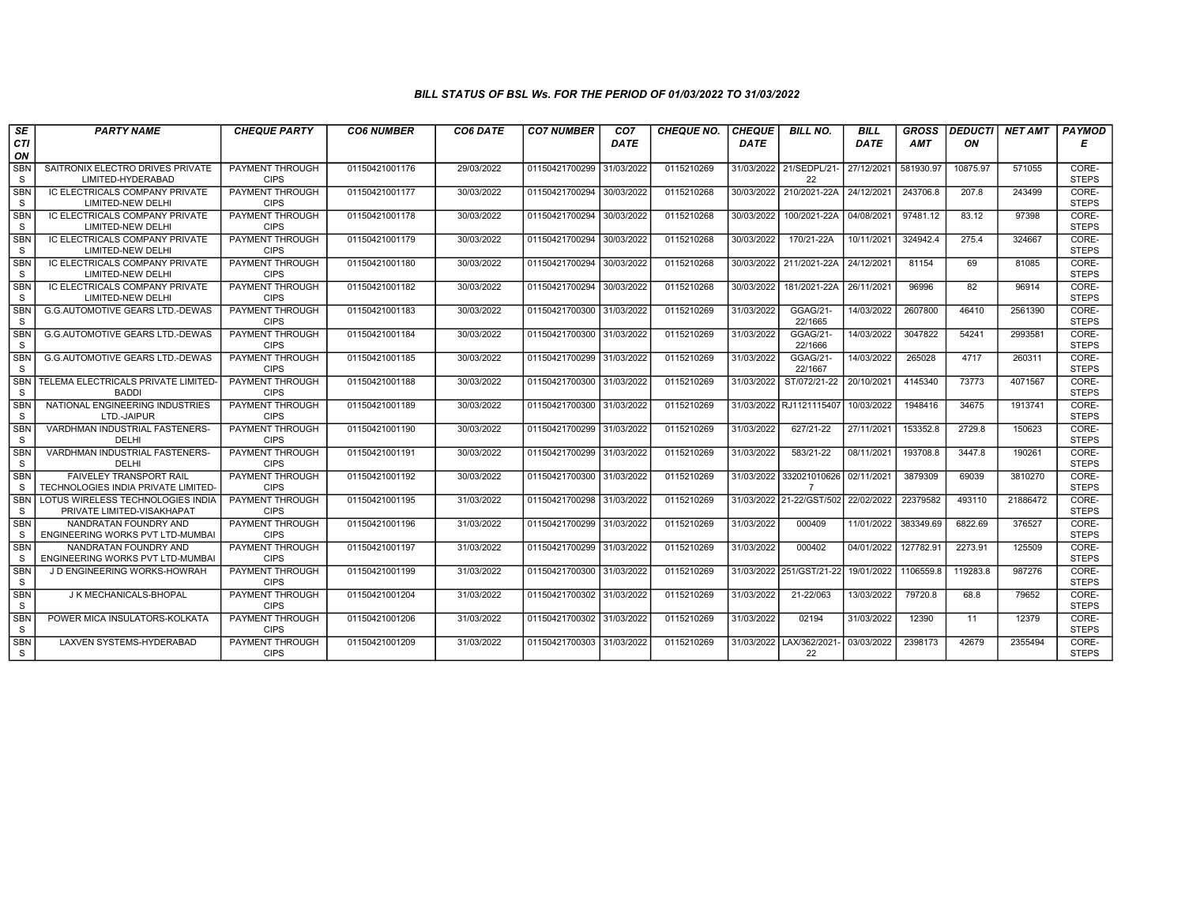| SE                         | <b>PARTY NAME</b>                                               | <b>CHEQUE PARTY</b>                   | <b>CO6 NUMBER</b> | <b>CO6 DATE</b> | <b>CO7 NUMBER</b>         | CO <sub>7</sub> | <b>CHEQUE NO.</b> | <b>CHEQUE</b> | <b>BILL NO.</b>                    | <b>BILL</b> | <b>GROSS</b> | <b>DEDUCTI</b> | NET AMT  | PAYMOD                |
|----------------------------|-----------------------------------------------------------------|---------------------------------------|-------------------|-----------------|---------------------------|-----------------|-------------------|---------------|------------------------------------|-------------|--------------|----------------|----------|-----------------------|
| CTI                        |                                                                 |                                       |                   |                 |                           | DATE            |                   | <b>DATE</b>   |                                    | DATE        | <b>AMT</b>   | ON             |          | Е                     |
| ON                         |                                                                 |                                       |                   |                 |                           |                 |                   |               |                                    |             |              |                |          |                       |
| <b>SBN</b>                 | SAITRONIX ELECTRO DRIVES PRIVATE                                | <b>PAYMENT THROUGH</b>                | 01150421001176    | 29/03/2022      | 01150421700299            | 31/03/2022      | 0115210269        |               | 31/03/2022 21/SEDPL/21-            | 27/12/2021  | 581930.97    | 10875.97       | 571055   | CORE-                 |
| S                          | LIMITED-HYDERABAD                                               | <b>CIPS</b>                           |                   |                 |                           |                 |                   |               | 22                                 |             |              |                |          | <b>STEPS</b>          |
| <b>SBN</b>                 | IC ELECTRICALS COMPANY PRIVATE                                  | <b>PAYMENT THROUGH</b>                | 01150421001177    | 30/03/2022      | 01150421700294            | 30/03/2022      | 0115210268        | 30/03/2022    | 210/2021-22A                       | 24/12/2021  | 243706.8     | 207.8          | 243499   | CORE-                 |
| S                          | LIMITED-NEW DELHI                                               | <b>CIPS</b>                           |                   |                 |                           |                 |                   |               |                                    |             |              |                |          | <b>STEPS</b>          |
| SBN<br>S                   | IC ELECTRICALS COMPANY PRIVATE<br>LIMITED-NEW DELHI             | <b>PAYMENT THROUGH</b><br><b>CIPS</b> | 01150421001178    | 30/03/2022      | 01150421700294            | 30/03/2022      | 0115210268        | 30/03/2022    | 100/2021-22A                       | 04/08/2021  | 97481.12     | 83.12          | 97398    | CORE-<br><b>STEPS</b> |
| <b>SBN</b>                 | IC ELECTRICALS COMPANY PRIVATE                                  | <b>PAYMENT THROUGH</b>                | 01150421001179    | 30/03/2022      | 01150421700294            | 30/03/2022      | 0115210268        | 30/03/2022    | 170/21-22A                         | 10/11/2021  | 324942.4     | 275.4          | 324667   | CORE-                 |
| S                          | <b>LIMITED-NEW DELHI</b>                                        | <b>CIPS</b>                           |                   |                 |                           |                 |                   |               |                                    |             |              |                |          | <b>STEPS</b>          |
| <b>SBN</b>                 | IC ELECTRICALS COMPANY PRIVATE                                  | <b>PAYMENT THROUGH</b>                | 01150421001180    | 30/03/2022      | 01150421700294            | 30/03/2022      | 0115210268        |               | 30/03/2022 211/2021-22A            | 24/12/2021  | 81154        | 69             | 81085    | CORE-                 |
| S                          | LIMITED-NEW DELHI                                               | <b>CIPS</b>                           |                   |                 |                           |                 |                   |               |                                    |             |              |                |          | <b>STEPS</b>          |
| <b>SBN</b>                 | IC ELECTRICALS COMPANY PRIVATE                                  | <b>PAYMENT THROUGH</b>                | 01150421001182    | 30/03/2022      | 01150421700294            | 30/03/2022      | 0115210268        | 30/03/2022    | 181/2021-22A                       | 26/11/2021  | 96996        | 82             | 96914    | CORE-                 |
| <sub>S</sub>               | LIMITED-NEW DELHI                                               | <b>CIPS</b>                           |                   |                 |                           |                 |                   |               |                                    |             |              |                |          | <b>STEPS</b>          |
| <b>SBN</b>                 | <b>G.G.AUTOMOTIVE GEARS LTD.-DEWAS</b>                          | PAYMENT THROUGH                       | 01150421001183    | 30/03/2022      | 01150421700300            | 31/03/2022      | 0115210269        | 31/03/2022    | GGAG/21-                           | 14/03/2022  | 2607800      | 46410          | 2561390  | CORE-                 |
| S                          |                                                                 | <b>CIPS</b>                           |                   |                 |                           |                 |                   |               | 22/1665                            |             |              |                |          | <b>STEPS</b>          |
| <b>SBN</b>                 | <b>G.G.AUTOMOTIVE GEARS LTD.-DEWAS</b>                          | PAYMENT THROUGH                       | 01150421001184    | 30/03/2022      | 01150421700300            | 31/03/2022      | 0115210269        | 31/03/2022    | GGAG/21-                           | 14/03/2022  | 3047822      | 54241          | 2993581  | CORE-                 |
| S                          |                                                                 | <b>CIPS</b>                           |                   |                 |                           |                 |                   |               | 22/1666                            |             |              |                |          | <b>STEPS</b>          |
| <b>SBN</b><br><sub>S</sub> | <b>G.G.AUTOMOTIVE GEARS LTD.-DEWAS</b>                          | PAYMENT THROUGH<br><b>CIPS</b>        | 01150421001185    | 30/03/2022      | 01150421700299            | 31/03/2022      | 0115210269        | 31/03/2022    | GGAG/21-<br>22/1667                | 14/03/2022  | 265028       | 4717           | 260311   | CORE-<br><b>STEPS</b> |
| <b>SBN</b>                 | TELEMA ELECTRICALS PRIVATE LIMITED                              | <b>PAYMENT THROUGH</b>                | 01150421001188    | 30/03/2022      | 01150421700300 31/03/2022 |                 | 0115210269        | 31/03/2022    | ST/072/21-22                       | 20/10/2021  | 4145340      | 73773          | 4071567  | CORE-                 |
| S                          | <b>BADDI</b>                                                    | <b>CIPS</b>                           |                   |                 |                           |                 |                   |               |                                    |             |              |                |          | <b>STEPS</b>          |
| SBN                        | NATIONAL ENGINEERING INDUSTRIES                                 | PAYMENT THROUGH                       | 01150421001189    | 30/03/2022      | 01150421700300            | 31/03/2022      | 0115210269        |               | 31/03/2022 RJ1121115407            | 10/03/2022  | 1948416      | 34675          | 1913741  | CORE-                 |
| <sub>S</sub>               | LTD.-JAIPUR                                                     | <b>CIPS</b>                           |                   |                 |                           |                 |                   |               |                                    |             |              |                |          | <b>STEPS</b>          |
| <b>SBN</b>                 | VARDHMAN INDUSTRIAL FASTENERS-                                  | <b>PAYMENT THROUGH</b>                | 01150421001190    | 30/03/2022      | 01150421700299            | 31/03/2022      | 0115210269        | 31/03/2022    | 627/21-22                          | 27/11/2021  | 153352.8     | 2729.8         | 150623   | CORE-                 |
| <sub>S</sub>               | DELHI                                                           | <b>CIPS</b>                           |                   |                 |                           |                 |                   |               |                                    |             |              |                |          | <b>STEPS</b>          |
| <b>SBN</b>                 | VARDHMAN INDUSTRIAL FASTENERS-                                  | <b>PAYMENT THROUGH</b>                | 01150421001191    | 30/03/2022      | 01150421700299            | 31/03/2022      | 0115210269        | 31/03/2022    | 583/21-22                          | 08/11/2021  | 193708.8     | 3447.8         | 190261   | CORE-                 |
| S                          | DELHI                                                           | <b>CIPS</b>                           |                   |                 |                           |                 |                   |               |                                    |             |              |                |          | <b>STEPS</b>          |
| <b>SBN</b>                 | <b>FAIVELEY TRANSPORT RAIL</b>                                  | <b>PAYMENT THROUGH</b>                | 01150421001192    | 30/03/2022      | 01150421700300            | 31/03/2022      | 0115210269        |               | 31/03/2022 332021010626 02/11/2021 |             | 3879309      | 69039          | 3810270  | CORE-                 |
| <sub>S</sub>               | TECHNOLOGIES INDIA PRIVATE LIMITED                              | <b>CIPS</b>                           |                   |                 |                           |                 |                   |               |                                    |             |              |                |          | <b>STEPS</b>          |
| <b>SBN</b><br>-S           | LOTUS WIRELESS TECHNOLOGIES INDIA<br>PRIVATE LIMITED-VISAKHAPAT | PAYMENT THROUGH<br><b>CIPS</b>        | 01150421001195    | 31/03/2022      | 01150421700298            | 31/03/2022      | 0115210269        |               | 31/03/2022 21-22/GST/502           | 22/02/2022  | 22379582     | 493110         | 21886472 | CORE-<br><b>STEPS</b> |
| <b>SBN</b>                 | NANDRATAN FOUNDRY AND                                           | <b>PAYMENT THROUGH</b>                | 01150421001196    | 31/03/2022      | 01150421700299            | 31/03/2022      | 0115210269        | 31/03/2022    | 000409                             | 11/01/2022  | 383349.69    | 6822.69        | 376527   | CORE-                 |
| <sub>S</sub>               | ENGINEERING WORKS PVT LTD-MUMBAI                                | <b>CIPS</b>                           |                   |                 |                           |                 |                   |               |                                    |             |              |                |          | <b>STEPS</b>          |
| <b>SBN</b>                 | NANDRATAN FOUNDRY AND                                           | <b>PAYMENT THROUGH</b>                | 01150421001197    | 31/03/2022      | 01150421700299 31/03/2022 |                 | 0115210269        | 31/03/2022    | 000402                             | 04/01/2022  | 127782.91    | 2273.91        | 125509   | CORE-                 |
| S                          | ENGINEERING WORKS PVT LTD-MUMBAI                                | <b>CIPS</b>                           |                   |                 |                           |                 |                   |               |                                    |             |              |                |          | <b>STEPS</b>          |
| <b>SBN</b>                 | J D ENGINEERING WORKS-HOWRAH                                    | PAYMENT THROUGH                       | 01150421001199    | 31/03/2022      | 01150421700300            | 31/03/2022      | 0115210269        |               | 31/03/2022 251/GST/21-22           | 19/01/2022  | 1106559.8    | 119283.8       | 987276   | CORE-                 |
| S                          |                                                                 | <b>CIPS</b>                           |                   |                 |                           |                 |                   |               |                                    |             |              |                |          | <b>STEPS</b>          |
| <b>SBN</b>                 | J K MECHANICALS-BHOPAL                                          | <b>PAYMENT THROUGH</b>                | 01150421001204    | 31/03/2022      | 01150421700302            | 31/03/2022      | 0115210269        | 31/03/2022    | 21-22/063                          | 13/03/2022  | 79720.8      | 68.8           | 79652    | CORE-                 |
| S                          |                                                                 | <b>CIPS</b>                           |                   |                 |                           |                 |                   |               |                                    |             |              |                |          | <b>STEPS</b>          |
| <b>SBN</b>                 | POWER MICA INSULATORS-KOLKATA                                   | <b>PAYMENT THROUGH</b>                | 01150421001206    | 31/03/2022      | 01150421700302            | 31/03/2022      | 0115210269        | 31/03/2022    | 02194                              | 31/03/2022  | 12390        | 11             | 12379    | CORE-                 |
| S                          |                                                                 | <b>CIPS</b>                           |                   |                 |                           |                 |                   |               |                                    |             |              |                |          | <b>STEPS</b>          |
| <b>SBN</b>                 | LAXVEN SYSTEMS-HYDERABAD                                        | PAYMENT THROUGH<br><b>CIPS</b>        | 01150421001209    | 31/03/2022      | 01150421700303 31/03/2022 |                 | 0115210269        |               | 31/03/2022   LAX/362/2021<br>22    | 03/03/2022  | 2398173      | 42679          | 2355494  | CORE-<br><b>STEPS</b> |
| S                          |                                                                 |                                       |                   |                 |                           |                 |                   |               |                                    |             |              |                |          |                       |